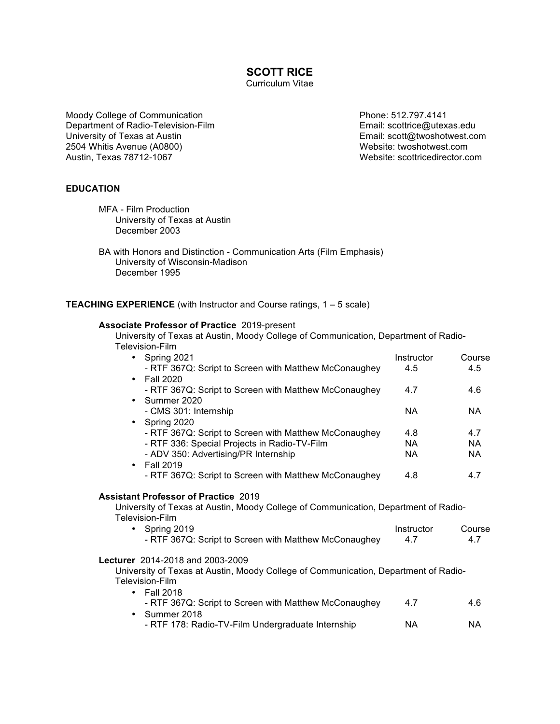**SCOTT RICE**

Curriculum Vitae

Moody College of Communication **Phone: 512.797.4141** Department of Radio-Television-Film example and the mail: scottrice@utexas.edu<br>
University of Texas at Austin example and the mail: scott@twoshotwest.com 2504 Whitis Avenue (A0800) 2504 Website: twoshotwest.com Austin, Texas 78712-1067 Website: scottricedirector.com

Email: scott@twoshotwest.com

# **EDUCATION**

MFA - Film Production University of Texas at Austin December 2003

BA with Honors and Distinction - Communication Arts (Film Emphasis) University of Wisconsin-Madison December 1995

**TEACHING EXPERIENCE** (with Instructor and Course ratings, 1 – 5 scale)

#### **Associate Professor of Practice** 2019-present

University of Texas at Austin, Moody College of Communication, Department of Radio-Television-Film

| • Spring 2021                                                                       | Instructor | Course    |
|-------------------------------------------------------------------------------------|------------|-----------|
| - RTF 367Q: Script to Screen with Matthew McConaughey                               | 4.5        | 4.5       |
| • Fall 2020                                                                         |            |           |
| - RTF 367Q: Script to Screen with Matthew McConaughey                               | 4.7        | 4.6       |
| • Summer 2020                                                                       |            |           |
| - CMS 301: Internship                                                               | NA.        | NA.       |
| • Spring 2020                                                                       |            |           |
| - RTF 367Q: Script to Screen with Matthew McConaughey                               | 4.8        | 4.7       |
| - RTF 336: Special Projects in Radio-TV-Film                                        | NA.        | <b>NA</b> |
| - ADV 350: Advertising/PR Internship                                                | NA.        | NA.       |
| • Fall 2019                                                                         |            |           |
| - RTF 367Q: Script to Screen with Matthew McConaughey                               | 4.8        | 4.7       |
|                                                                                     |            |           |
| <b>Assistant Professor of Practice 2019</b>                                         |            |           |
| University of Texas at Austin, Moody College of Communication, Department of Radio- |            |           |
| Television-Film                                                                     |            |           |
| • Spring 2019                                                                       | Instructor | Course    |
| - RTF 367Q: Script to Screen with Matthew McConaughey                               | 4.7        | 4.7       |
| <b>Lecturer</b> 2014-2018 and 2003-2009                                             |            |           |
| University of Texas at Austin, Moody College of Communication, Department of Radio- |            |           |
| Television-Film                                                                     |            |           |
| $\cdot$ Fall 2018                                                                   |            |           |
| - RTF 367Q: Script to Screen with Matthew McConaughey                               | 4.7        | 4.6       |
| Summer 2018<br>$\bullet$                                                            |            |           |
|                                                                                     |            |           |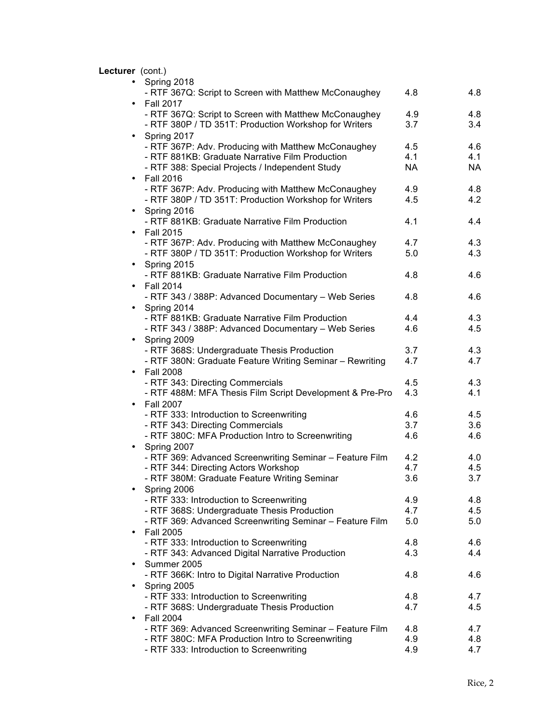# **Lecturer** (cont.)

|           | 11 GI (CONG)                                                                            |            |            |
|-----------|-----------------------------------------------------------------------------------------|------------|------------|
| $\bullet$ | Spring 2018                                                                             |            |            |
|           | - RTF 367Q: Script to Screen with Matthew McConaughey                                   | 4.8        | 4.8        |
| $\bullet$ | <b>Fall 2017</b>                                                                        |            |            |
|           | - RTF 367Q: Script to Screen with Matthew McConaughey                                   | 4.9        | 4.8        |
|           | - RTF 380P / TD 351T: Production Workshop for Writers                                   | 3.7        | 3.4        |
| $\bullet$ | Spring 2017                                                                             |            |            |
|           | - RTF 367P: Adv. Producing with Matthew McConaughey                                     | 4.5        | 4.6        |
|           | - RTF 881KB: Graduate Narrative Film Production                                         | 4.1        | 4.1        |
|           | - RTF 388: Special Projects / Independent Study                                         | <b>NA</b>  | <b>NA</b>  |
| $\bullet$ | <b>Fall 2016</b>                                                                        |            |            |
|           | - RTF 367P: Adv. Producing with Matthew McConaughey                                     | 4.9        | 4.8        |
|           | - RTF 380P / TD 351T: Production Workshop for Writers                                   | 4.5        | 4.2        |
| $\bullet$ | Spring 2016<br>- RTF 881KB: Graduate Narrative Film Production                          | 4.1        | 4.4        |
|           | <b>Fall 2015</b>                                                                        |            |            |
|           | - RTF 367P: Adv. Producing with Matthew McConaughey                                     | 4.7        | 4.3        |
|           | - RTF 380P / TD 351T: Production Workshop for Writers                                   | 5.0        | 4.3        |
| $\bullet$ | Spring 2015                                                                             |            |            |
|           | - RTF 881KB: Graduate Narrative Film Production                                         | 4.8        | 4.6        |
|           | <b>Fall 2014</b>                                                                        |            |            |
|           | - RTF 343 / 388P: Advanced Documentary - Web Series                                     | 4.8        | 4.6        |
|           | Spring 2014                                                                             |            |            |
|           | - RTF 881KB: Graduate Narrative Film Production                                         | 4.4        | 4.3        |
|           | - RTF 343 / 388P: Advanced Documentary - Web Series                                     | 4.6        | 4.5        |
| $\bullet$ | Spring 2009                                                                             |            |            |
|           | - RTF 368S: Undergraduate Thesis Production                                             | 3.7        | 4.3        |
|           | - RTF 380N: Graduate Feature Writing Seminar - Rewriting                                | 4.7        | 4.7        |
| $\bullet$ | <b>Fall 2008</b>                                                                        |            |            |
|           | - RTF 343: Directing Commercials                                                        | 4.5        | 4.3        |
|           | - RTF 488M: MFA Thesis Film Script Development & Pre-Pro                                | 4.3        | 4.1        |
| $\bullet$ | <b>Fall 2007</b>                                                                        |            |            |
|           | - RTF 333: Introduction to Screenwriting                                                | 4.6        | 4.5        |
|           | - RTF 343: Directing Commercials                                                        | 3.7        | 3.6        |
|           | - RTF 380C: MFA Production Intro to Screenwriting                                       | 4.6        | 4.6        |
| $\bullet$ | Spring 2007                                                                             |            |            |
|           | - RTF 369: Advanced Screenwriting Seminar - Feature Film                                | 4.2        | 4.0        |
|           | - RTF 344: Directing Actors Workshop                                                    | 4.7        | 4.5        |
|           | - RTF 380M: Graduate Feature Writing Seminar                                            | 3.6        | 3.7        |
|           | Spring 2006                                                                             |            |            |
|           | - RTF 333: Introduction to Screenwriting<br>- RTF 368S: Undergraduate Thesis Production | 4.9<br>4.7 | 4.8<br>4.5 |
|           | - RTF 369: Advanced Screenwriting Seminar - Feature Film                                | 5.0        | 5.0        |
| $\bullet$ | <b>Fall 2005</b>                                                                        |            |            |
|           | - RTF 333: Introduction to Screenwriting                                                | 4.8        | 4.6        |
|           | - RTF 343: Advanced Digital Narrative Production                                        | 4.3        | 4.4        |
|           | Summer 2005                                                                             |            |            |
|           | - RTF 366K: Intro to Digital Narrative Production                                       | 4.8        | 4.6        |
| $\bullet$ | Spring 2005                                                                             |            |            |
|           | - RTF 333: Introduction to Screenwriting                                                | 4.8        | 4.7        |
|           | - RTF 368S: Undergraduate Thesis Production                                             | 4.7        | 4.5        |
| $\bullet$ | <b>Fall 2004</b>                                                                        |            |            |
|           | - RTF 369: Advanced Screenwriting Seminar - Feature Film                                | 4.8        | 4.7        |
|           | - RTF 380C: MFA Production Intro to Screenwriting                                       | 4.9        | 4.8        |
|           | - RTF 333: Introduction to Screenwriting                                                | 4.9        | 4.7        |
|           |                                                                                         |            |            |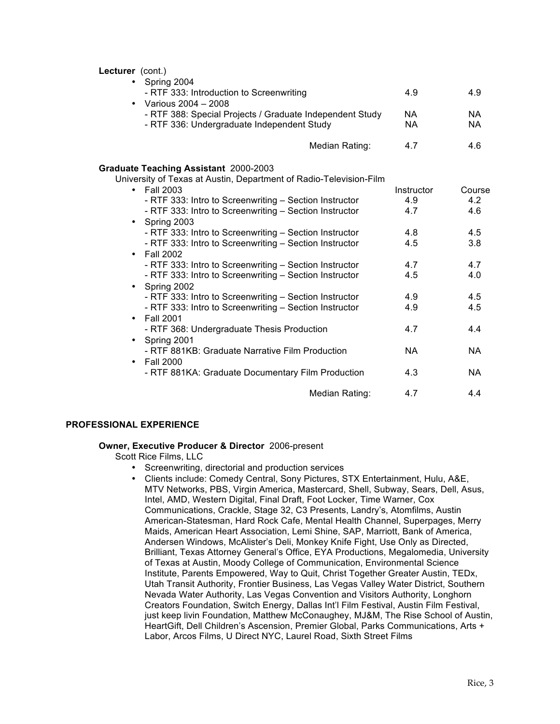**Lecturer** (cont.)

| Lecturer (cont.)                                                           |            |           |
|----------------------------------------------------------------------------|------------|-----------|
| • Spring 2004                                                              |            |           |
| - RTF 333: Introduction to Screenwriting                                   | 4.9        | 4.9       |
| • Various 2004 - 2008                                                      |            |           |
| - RTF 388: Special Projects / Graduate Independent Study                   | NA.        | NA.       |
| - RTF 336: Undergraduate Independent Study                                 | <b>NA</b>  | <b>NA</b> |
| Median Rating:                                                             | 4.7        | 4.6       |
| Graduate Teaching Assistant 2000-2003                                      |            |           |
| University of Texas at Austin, Department of Radio-Television-Film         |            |           |
| $\cdot$ Fall 2003                                                          | Instructor | Course    |
| - RTF 333: Intro to Screenwriting - Section Instructor                     | 4.9        | 4.2       |
| - RTF 333: Intro to Screenwriting - Section Instructor                     | 4.7        | 4.6       |
| Spring 2003<br>$\bullet$                                                   |            |           |
| - RTF 333: Intro to Screenwriting - Section Instructor                     | 4.8        | 4.5       |
| - RTF 333: Intro to Screenwriting - Section Instructor                     | 4.5        | 3.8       |
| Fall 2002<br>$\bullet$                                                     |            |           |
| - RTF 333: Intro to Screenwriting - Section Instructor                     | 4.7        | 4.7       |
| - RTF 333: Intro to Screenwriting - Section Instructor                     | 4.5        | 4.0       |
| Spring 2002<br>$\bullet$                                                   |            |           |
| - RTF 333: Intro to Screenwriting - Section Instructor                     | 4.9        | 4.5       |
| - RTF 333: Intro to Screenwriting - Section Instructor<br><b>Fall 2001</b> | 4.9        | 4.5       |
| $\bullet$                                                                  | 4.7        | 4.4       |
| - RTF 368: Undergraduate Thesis Production<br>• Spring 2001                |            |           |
| - RTF 881KB: Graduate Narrative Film Production                            | <b>NA</b>  | NA.       |
| <b>Fall 2000</b><br>$\bullet$                                              |            |           |
| - RTF 881KA: Graduate Documentary Film Production                          | 4.3        | <b>NA</b> |
|                                                                            |            |           |
| Median Rating:                                                             | 4.7        | 4.4       |

## **PROFESSIONAL EXPERIENCE**

## **Owner, Executive Producer & Director** 2006-present

Scott Rice Films, LLC

- Screenwriting, directorial and production services
- Clients include: Comedy Central, Sony Pictures, STX Entertainment, Hulu, A&E, MTV Networks, PBS, Virgin America, Mastercard, Shell, Subway, Sears, Dell, Asus, Intel, AMD, Western Digital, Final Draft, Foot Locker, Time Warner, Cox Communications, Crackle, Stage 32, C3 Presents, Landry's, Atomfilms, Austin American-Statesman, Hard Rock Cafe, Mental Health Channel, Superpages, Merry Maids, American Heart Association, Lemi Shine, SAP, Marriott, Bank of America, Andersen Windows, McAlister's Deli, Monkey Knife Fight, Use Only as Directed, Brilliant, Texas Attorney General's Office, EYA Productions, Megalomedia, University of Texas at Austin, Moody College of Communication, Environmental Science Institute, Parents Empowered, Way to Quit, Christ Together Greater Austin, TEDx, Utah Transit Authority, Frontier Business, Las Vegas Valley Water District, Southern Nevada Water Authority, Las Vegas Convention and Visitors Authority, Longhorn Creators Foundation, Switch Energy, Dallas Int'l Film Festival, Austin Film Festival, just keep livin Foundation, Matthew McConaughey, MJ&M, The Rise School of Austin, HeartGift, Dell Children's Ascension, Premier Global, Parks Communications, Arts + Labor, Arcos Films, U Direct NYC, Laurel Road, Sixth Street Films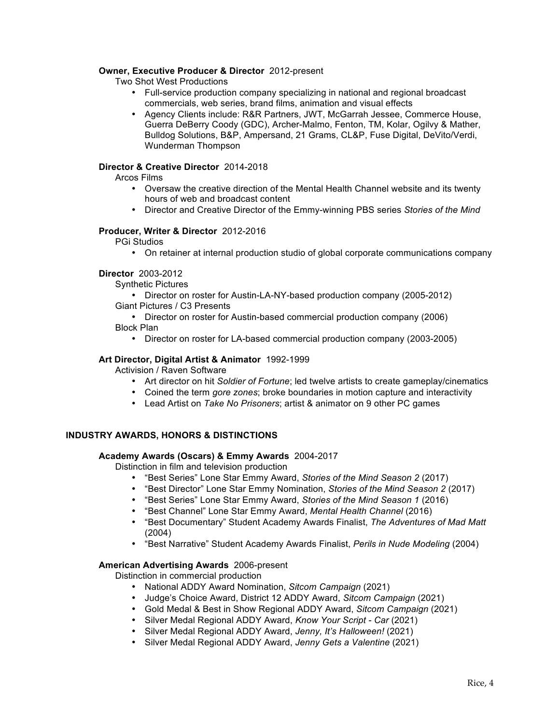# **Owner, Executive Producer & Director** 2012-present

Two Shot West Productions

- Full-service production company specializing in national and regional broadcast commercials, web series, brand films, animation and visual effects
- Agency Clients include: R&R Partners, JWT, McGarrah Jessee, Commerce House, Guerra DeBerry Coody (GDC), Archer-Malmo, Fenton, TM, Kolar, Ogilvy & Mather, Bulldog Solutions, B&P, Ampersand, 21 Grams, CL&P, Fuse Digital, DeVito/Verdi, Wunderman Thompson

## **Director & Creative Director** 2014-2018

Arcos Films

- Oversaw the creative direction of the Mental Health Channel website and its twenty hours of web and broadcast content
- Director and Creative Director of the Emmy-winning PBS series *Stories of the Mind*

## **Producer, Writer & Director** 2012-2016

PGi Studios

• On retainer at internal production studio of global corporate communications company

# **Director** 2003-2012

Synthetic Pictures

• Director on roster for Austin-LA-NY-based production company (2005-2012) Giant Pictures / C3 Presents

• Director on roster for Austin-based commercial production company (2006)

- Block Plan
	- Director on roster for LA-based commercial production company (2003-2005)

## **Art Director, Digital Artist & Animator** 1992-1999

Activision / Raven Software

- Art director on hit *Soldier of Fortune*; led twelve artists to create gameplay/cinematics
- Coined the term *gore zones*; broke boundaries in motion capture and interactivity
- Lead Artist on *Take No Prisoners*; artist & animator on 9 other PC games

## **INDUSTRY AWARDS, HONORS & DISTINCTIONS**

#### **Academy Awards (Oscars) & Emmy Awards** 2004-2017

Distinction in film and television production

- "Best Series" Lone Star Emmy Award, *Stories of the Mind Season 2* (2017)
- "Best Director" Lone Star Emmy Nomination, *Stories of the Mind Season 2* (2017)
- "Best Series" Lone Star Emmy Award, *Stories of the Mind Season 1* (2016)
- "Best Channel" Lone Star Emmy Award, *Mental Health Channel* (2016)
- "Best Documentary" Student Academy Awards Finalist, *The Adventures of Mad Matt* (2004)
- "Best Narrative" Student Academy Awards Finalist, *Perils in Nude Modeling* (2004)

## **American Advertising Awards** 2006-present

Distinction in commercial production

- National ADDY Award Nomination, *Sitcom Campaign* (2021)
- Judge's Choice Award, District 12 ADDY Award, *Sitcom Campaign* (2021)
- Gold Medal & Best in Show Regional ADDY Award, *Sitcom Campaign* (2021)
- Silver Medal Regional ADDY Award, *Know Your Script - Car* (2021)
- Silver Medal Regional ADDY Award, *Jenny, It's Halloween!* (2021)
- Silver Medal Regional ADDY Award, *Jenny Gets a Valentine* (2021)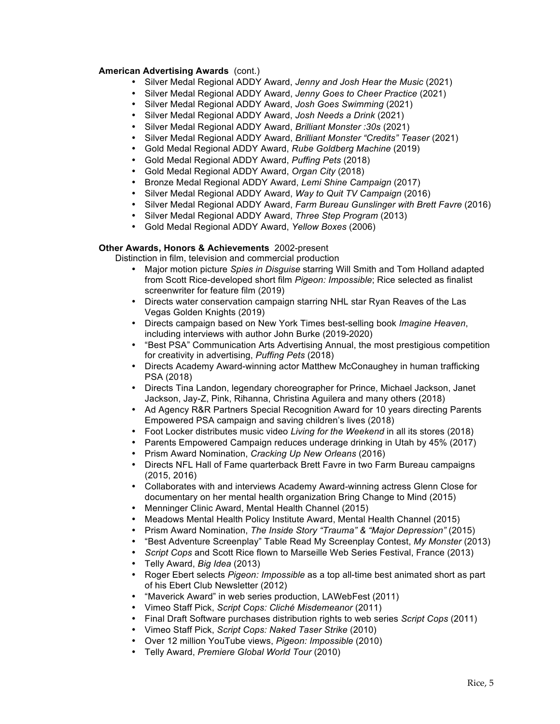# **American Advertising Awards** (cont.)

- Silver Medal Regional ADDY Award, *Jenny and Josh Hear the Music* (2021)
- Silver Medal Regional ADDY Award, *Jenny Goes to Cheer Practice* (2021)
- Silver Medal Regional ADDY Award, *Josh Goes Swimming* (2021)
- Silver Medal Regional ADDY Award, *Josh Needs a Drink* (2021)
- Silver Medal Regional ADDY Award, *Brilliant Monster :30s* (2021)
- Silver Medal Regional ADDY Award, *Brilliant Monster "Credits" Teaser* (2021)
- Gold Medal Regional ADDY Award, *Rube Goldberg Machine* (2019)
- Gold Medal Regional ADDY Award, *Puffing Pets* (2018)
- Gold Medal Regional ADDY Award, *Organ City* (2018)
- Bronze Medal Regional ADDY Award, *Lemi Shine Campaign* (2017)
- Silver Medal Regional ADDY Award, *Way to Quit TV Campaign* (2016)
- Silver Medal Regional ADDY Award, *Farm Bureau Gunslinger with Brett Favre* (2016)
- Silver Medal Regional ADDY Award, *Three Step Program* (2013)
- Gold Medal Regional ADDY Award, *Yellow Boxes* (2006)

## **Other Awards, Honors & Achievements** 2002-present

Distinction in film, television and commercial production

- Major motion picture *Spies in Disguise* starring Will Smith and Tom Holland adapted from Scott Rice-developed short film *Pigeon: Impossible*; Rice selected as finalist screenwriter for feature film (2019)
- Directs water conservation campaign starring NHL star Ryan Reaves of the Las Vegas Golden Knights (2019)
- Directs campaign based on New York Times best-selling book *Imagine Heaven*, including interviews with author John Burke (2019-2020)
- "Best PSA" Communication Arts Advertising Annual, the most prestigious competition for creativity in advertising, *Puffing Pets* (2018)
- Directs Academy Award-winning actor Matthew McConaughey in human trafficking PSA (2018)
- Directs Tina Landon, legendary choreographer for Prince, Michael Jackson, Janet Jackson, Jay-Z, Pink, Rihanna, Christina Aguilera and many others (2018)
- Ad Agency R&R Partners Special Recognition Award for 10 years directing Parents Empowered PSA campaign and saving children's lives (2018)
- Foot Locker distributes music video *Living for the Weekend* in all its stores (2018)
- Parents Empowered Campaign reduces underage drinking in Utah by 45% (2017)
- Prism Award Nomination, *Cracking Up New Orleans* (2016)
- Directs NFL Hall of Fame quarterback Brett Favre in two Farm Bureau campaigns (2015, 2016)
- Collaborates with and interviews Academy Award-winning actress Glenn Close for documentary on her mental health organization Bring Change to Mind (2015)
- Menninger Clinic Award, Mental Health Channel (2015)
- Meadows Mental Health Policy Institute Award, Mental Health Channel (2015)
- Prism Award Nomination, *The Inside Story "Trauma" & "Major Depression"* (2015)
- "Best Adventure Screenplay" Table Read My Screenplay Contest, *My Monster* (2013)
- *Script Cops* and Scott Rice flown to Marseille Web Series Festival, France (2013)
- Telly Award, *Big Idea* (2013)
- Roger Ebert selects *Pigeon: Impossible* as a top all-time best animated short as part of his Ebert Club Newsletter (2012)
- "Maverick Award" in web series production, LAWebFest (2011)
- Vimeo Staff Pick, *Script Cops: Cliché Misdemeanor* (2011)
- Final Draft Software purchases distribution rights to web series *Script Cops* (2011)
- Vimeo Staff Pick, *Script Cops: Naked Taser Strike* (2010)
- Over 12 million YouTube views, *Pigeon: Impossible* (2010)
- Telly Award, *Premiere Global World Tour* (2010)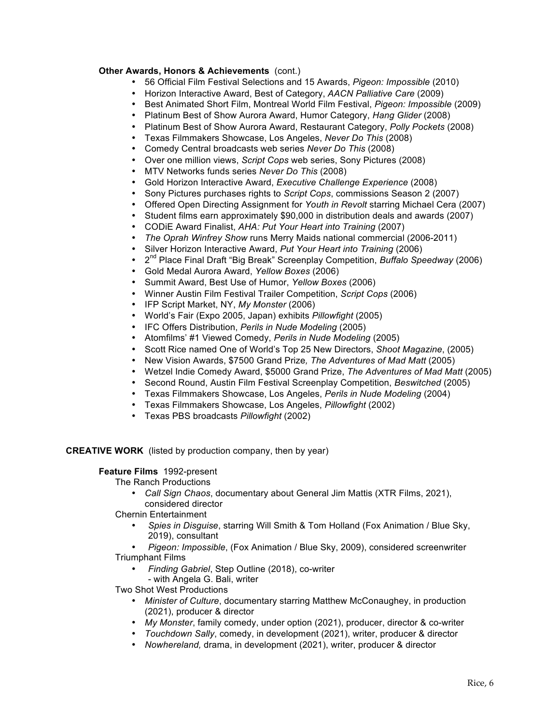# **Other Awards, Honors & Achievements** (cont.)

- 56 Official Film Festival Selections and 15 Awards, *Pigeon: Impossible* (2010)
- Horizon Interactive Award, Best of Category, *AACN Palliative Care* (2009)
- Best Animated Short Film, Montreal World Film Festival, *Pigeon: Impossible* (2009)
- Platinum Best of Show Aurora Award, Humor Category, *Hang Glider* (2008)
- Platinum Best of Show Aurora Award, Restaurant Category, *Polly Pockets* (2008)
- Texas Filmmakers Showcase, Los Angeles, *Never Do This* (2008)
- Comedy Central broadcasts web series *Never Do This* (2008)
- Over one million views, *Script Cops* web series, Sony Pictures (2008)
- MTV Networks funds series *Never Do This* (2008)
- Gold Horizon Interactive Award, *Executive Challenge Experience* (2008)
- Sony Pictures purchases rights to *Script Cops*, commissions Season 2 (2007)
- Offered Open Directing Assignment for *Youth in Revolt* starring Michael Cera (2007)
- Student films earn approximately \$90,000 in distribution deals and awards (2007)<br>• CODIF Award Finalist AHA: Put Your Heart into Training (2007)
- CODiE Award Finalist, *AHA: Put Your Heart into Training* (2007)
- *The Oprah Winfrey Show* runs Merry Maids national commercial (2006-2011)
- Silver Horizon Interactive Award, *Put Your Heart into Training* (2006)
- 2nd Place Final Draft "Big Break" Screenplay Competition, *Buffalo Speedway* (2006)
- Gold Medal Aurora Award, *Yellow Boxes* (2006)
- Summit Award, Best Use of Humor, *Yellow Boxes* (2006)
- Winner Austin Film Festival Trailer Competition, *Script Cops* (2006)
- IFP Script Market, NY, *My Monster* (2006)
- World's Fair (Expo 2005, Japan) exhibits *Pillowfight* (2005)
- IFC Offers Distribution, *Perils in Nude Modeling* (2005)
- Atomfilms' #1 Viewed Comedy, *Perils in Nude Modeling* (2005)
- Scott Rice named One of World's Top 25 New Directors, *Shoot Magazine*, (2005)
- New Vision Awards, \$7500 Grand Prize*, The Adventures of Mad Matt* (2005)
- Wetzel Indie Comedy Award, \$5000 Grand Prize, *The Adventures of Mad Matt* (2005)
- Second Round, Austin Film Festival Screenplay Competition, *Beswitched* (2005)
- Texas Filmmakers Showcase, Los Angeles, *Perils in Nude Modeling* (2004)
- Texas Filmmakers Showcase, Los Angeles, *Pillowfight* (2002)
- Texas PBS broadcasts *Pillowfight* (2002)

**CREATIVE WORK** (listed by production company, then by year)

# **Feature Films** 1992-present

The Ranch Productions

- *Call Sign Chaos*, documentary about General Jim Mattis (XTR Films, 2021), considered director
- Chernin Entertainment
	- *Spies in Disguise*, starring Will Smith & Tom Holland (Fox Animation / Blue Sky, 2019), consultant
- *Pigeon: Impossible*, (Fox Animation / Blue Sky, 2009), considered screenwriter Triumphant Films
	- *Finding Gabriel*, Step Outline (2018), co-writer
		- with Angela G. Bali, writer

Two Shot West Productions

- *Minister of Culture*, documentary starring Matthew McConaughey, in production (2021), producer & director
- *My Monster*, family comedy, under option (2021), producer, director & co-writer
- *Touchdown Sally*, comedy, in development (2021), writer, producer & director
- *Nowhereland,* drama, in development (2021), writer, producer & director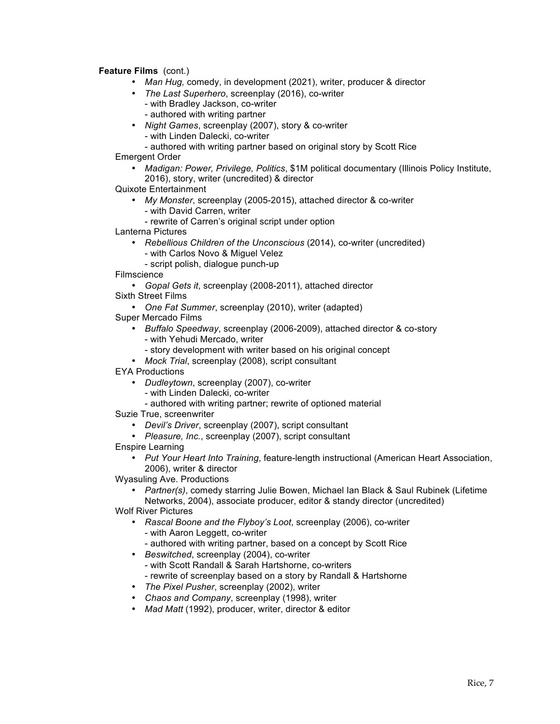**Feature Films**(cont.)

- *Man Hug,* comedy, in development (2021), writer, producer & director
- *The Last Superhero*, screenplay (2016), co-writer
	- with Bradley Jackson, co-writer
	- authored with writing partner
- *Night Games*, screenplay (2007), story & co-writer
	- with Linden Dalecki, co-writer
	- authored with writing partner based on original story by Scott Rice

Emergent Order

- *Madigan: Power, Privilege, Politics*, \$1M political documentary (Illinois Policy Institute, 2016), story, writer (uncredited) & director
- Quixote Entertainment
	- *My Monster*, screenplay (2005-2015), attached director & co-writer
	- with David Carren, writer
		- rewrite of Carren's original script under option

Lanterna Pictures

- *Rebellious Children of the Unconscious* (2014), co-writer (uncredited)
	- with Carlos Novo & Miguel Velez
	- script polish, dialogue punch-up
- Filmscience
- *Gopal Gets it*, screenplay (2008-2011), attached director
- Sixth Street Films
	- *One Fat Summer*, screenplay (2010), writer (adapted)
- Super Mercado Films
	- *Buffalo Speedway*, screenplay (2006-2009), attached director & co-story - with Yehudi Mercado, writer
		- story development with writer based on his original concept
	- *Mock Trial*, screenplay (2008), script consultant
- EYA Productions
	- *Dudleytown*, screenplay (2007), co-writer
		- with Linden Dalecki, co-writer
		- authored with writing partner; rewrite of optioned material
- Suzie True, screenwriter
	- *Devil's Driver*, screenplay (2007), script consultant
	- *Pleasure, Inc.*, screenplay (2007), script consultant
- Enspire Learning
	- *Put Your Heart Into Training*, feature-length instructional (American Heart Association, 2006), writer & director

Wyasuling Ave. Productions

• *Partner(s)*, comedy starring Julie Bowen, Michael Ian Black & Saul Rubinek (Lifetime Networks, 2004), associate producer, editor & standy director (uncredited)

Wolf River Pictures

- *Rascal Boone and the Flyboy's Loot*, screenplay (2006), co-writer - with Aaron Leggett, co-writer
	- authored with writing partner, based on a concept by Scott Rice
- *Beswitched*, screenplay (2004), co-writer - with Scott Randall & Sarah Hartshorne, co-writers
	- rewrite of screenplay based on a story by Randall & Hartshorne
- *The Pixel Pusher*, screenplay (2002), writer
- *Chaos and Company*, screenplay (1998), writer
- *Mad Matt* (1992), producer, writer, director & editor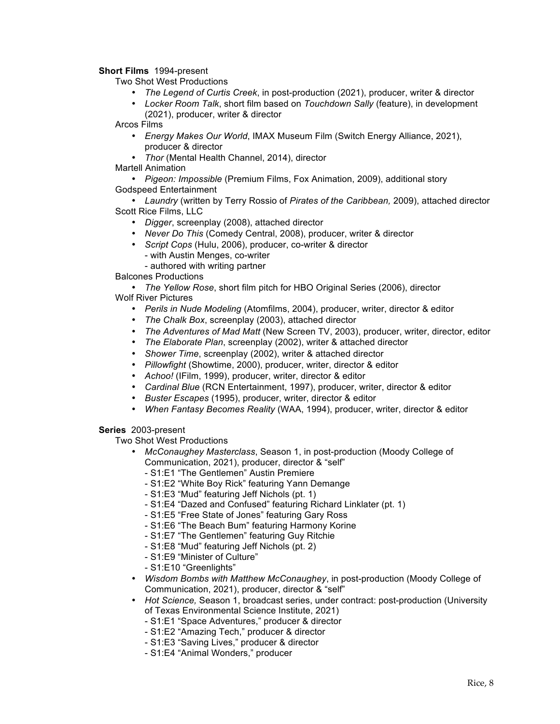**Short Films** 1994-present

Two Shot West Productions

- *The Legend of Curtis Creek*, in post-production (2021), producer, writer & director
- *Locker Room Talk*, short film based on *Touchdown Sally* (feature), in development (2021), producer, writer & director

Arcos Films

- *Energy Makes Our World*, IMAX Museum Film (Switch Energy Alliance, 2021), producer & director
- *Thor* (Mental Health Channel, 2014), director
- Martell Animation

• *Pigeon: Impossible* (Premium Films, Fox Animation, 2009), additional story Godspeed Entertainment

• *Laundry* (written by Terry Rossio of *Pirates of the Caribbean,* 2009), attached director Scott Rice Films, LLC

- *Digger*, screenplay (2008), attached director
- *Never Do This* (Comedy Central, 2008), producer, writer & director
- *Script Cops* (Hulu, 2006), producer, co-writer & director
	- with Austin Menges, co-writer
	- authored with writing partner

Balcones Productions

• *The Yellow Rose*, short film pitch for HBO Original Series (2006), director Wolf River Pictures

- *Perils in Nude Modeling* (Atomfilms, 2004), producer, writer, director & editor
- *The Chalk Box*, screenplay (2003), attached director
- *The Adventures of Mad Matt* (New Screen TV, 2003), producer, writer, director, editor
- *The Elaborate Plan*, screenplay (2002), writer & attached director
- *Shower Time*, screenplay (2002), writer & attached director
- *Pillowfight* (Showtime, 2000), producer, writer, director & editor
- *Achoo!* (IFilm, 1999), producer, writer, director & editor
- *Cardinal Blue* (RCN Entertainment, 1997), producer, writer, director & editor
- *Buster Escapes* (1995), producer, writer, director & editor
- *When Fantasy Becomes Reality* (WAA, 1994), producer, writer, director & editor

**Series** 2003-present

Two Shot West Productions

- *McConaughey Masterclass*, Season 1, in post-production (Moody College of Communication, 2021), producer, director & "self"
	- S1:E1 "The Gentlemen" Austin Premiere
	- S1:E2 "White Boy Rick" featuring Yann Demange
	- S1:E3 "Mud" featuring Jeff Nichols (pt. 1)
	- S1:E4 "Dazed and Confused" featuring Richard Linklater (pt. 1)
	- S1:E5 "Free State of Jones" featuring Gary Ross
	- S1:E6 "The Beach Bum" featuring Harmony Korine
	- S1:E7 "The Gentlemen" featuring Guy Ritchie
	- S1:E8 "Mud" featuring Jeff Nichols (pt. 2)
	- S1:E9 "Minister of Culture"
	- S1:E10 "Greenlights"
- *Wisdom Bombs with Matthew McConaughey*, in post-production (Moody College of Communication, 2021), producer, director & "self"
- *Hot Science,* Season 1, broadcast series, under contract: post-production (University of Texas Environmental Science Institute, 2021)
	- S1:E1 "Space Adventures," producer & director
	- S1:E2 "Amazing Tech," producer & director
	- S1:E3 "Saving Lives," producer & director
	- S1:E4 "Animal Wonders," producer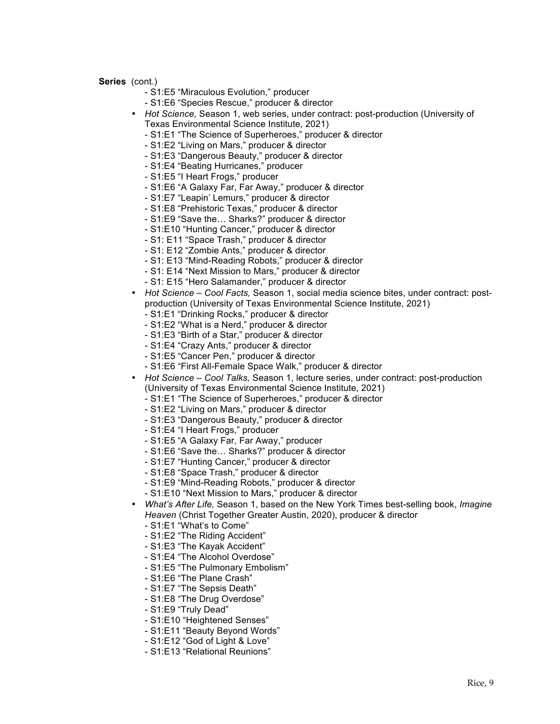- S1:E5 "Miraculous Evolution," producer
- S1:E6 "Species Rescue," producer & director
- *Hot Science,* Season 1, web series, under contract: post-production (University of Texas Environmental Science Institute, 2021)
	- S1:E1 "The Science of Superheroes," producer & director
	- S1:E2 "Living on Mars," producer & director
	- S1:E3 "Dangerous Beauty," producer & director
	- S1:E4 "Beating Hurricanes," producer
	- S1:E5 "I Heart Frogs," producer
	- S1:E6 "A Galaxy Far, Far Away," producer & director
	- S1:E7 "Leapin' Lemurs," producer & director
	- S1:E8 "Prehistoric Texas," producer & director
	- S1:E9 "Save the… Sharks?" producer & director
	- S1:E10 "Hunting Cancer," producer & director
	- S1: E11 "Space Trash," producer & director
	- S1: E12 "Zombie Ants," producer & director
	- S1: E13 "Mind-Reading Robots," producer & director
	- S1: E14 "Next Mission to Mars," producer & director
	- S1: E15 "Hero Salamander," producer & director
- *Hot Science – Cool Facts,* Season 1, social media science bites, under contract: postproduction (University of Texas Environmental Science Institute, 2021)
	- S1:E1 "Drinking Rocks," producer & director
	- S1:E2 "What is a Nerd," producer & director
	- S1:E3 "Birth of a Star," producer & director
	- S1:E4 "Crazy Ants," producer & director
	- S1:E5 "Cancer Pen," producer & director
	- S1:E6 "First All-Female Space Walk," producer & director
- *Hot Science – Cool Talks,* Season 1, lecture series, under contract: post-production (University of Texas Environmental Science Institute, 2021)
	- S1:E1 "The Science of Superheroes," producer & director
	- S1:E2 "Living on Mars," producer & director
	- S1:E3 "Dangerous Beauty," producer & director
	- S1:E4 "I Heart Frogs," producer
	- S1:E5 "A Galaxy Far, Far Away," producer
	- S1:E6 "Save the… Sharks?" producer & director
	- S1:E7 "Hunting Cancer," producer & director
	- S1:E8 "Space Trash," producer & director
	- S1:E9 "Mind-Reading Robots," producer & director
	- S1:E10 "Next Mission to Mars," producer & director
- *What's After Life,* Season 1, based on the New York Times best-selling book, *Imagine Heaven* (Christ Together Greater Austin, 2020), producer & director
	- S1:E1 "What's to Come"
	- S1:E2 "The Riding Accident"
	- S1:E3 "The Kayak Accident"
	- S1:E4 "The Alcohol Overdose"
	- S1:E5 "The Pulmonary Embolism"
	- S1:E6 "The Plane Crash"
	- S1:E7 "The Sepsis Death"
	- S1:E8 "The Drug Overdose"
	- S1:E9 "Truly Dead"
	- S1:E10 "Heightened Senses"
	- S1:E11 "Beauty Beyond Words"
	- S1:E12 "God of Light & Love"
	- S1:E13 "Relational Reunions"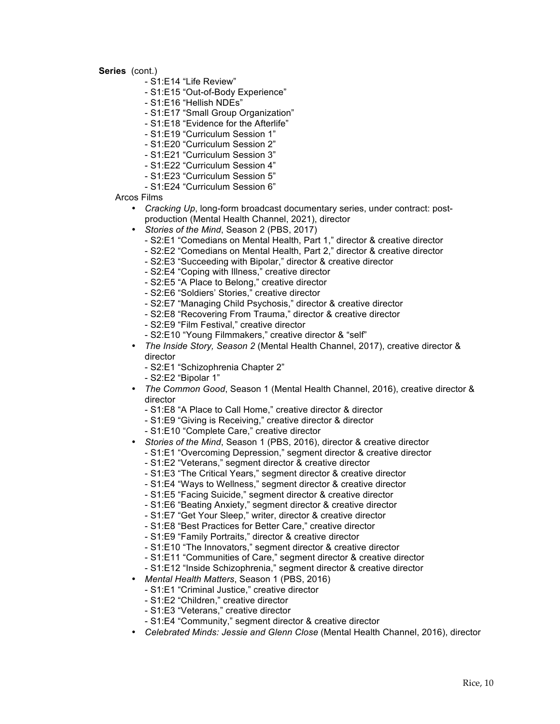- S1:E14 "Life Review"
- S1:E15 "Out-of-Body Experience"
- S1:E16 "Hellish NDEs"
- S1:E17 "Small Group Organization"
- S1:E18 "Evidence for the Afterlife"
- S1:E19 "Curriculum Session 1"
- S1:E20 "Curriculum Session 2"
- S1:E21 "Curriculum Session 3"
- S1:E22 "Curriculum Session 4"
- S1:E23 "Curriculum Session 5"
- S1:E24 "Curriculum Session 6"

Arcos Films

- *Cracking Up*, long-form broadcast documentary series, under contract: postproduction (Mental Health Channel, 2021), director
- *Stories of the Mind*, Season 2 (PBS, 2017)
	- S2:E1 "Comedians on Mental Health, Part 1," director & creative director
	- S2:E2 "Comedians on Mental Health, Part 2," director & creative director
	- S2:E3 "Succeeding with Bipolar," director & creative director
	- S2:E4 "Coping with Illness," creative director
	- S2:E5 "A Place to Belong," creative director
	- S2:E6 "Soldiers' Stories," creative director
	- S2:E7 "Managing Child Psychosis," director & creative director
	- S2:E8 "Recovering From Trauma," director & creative director
	- S2:E9 "Film Festival," creative director
	- S2:E10 "Young Filmmakers," creative director & "self"
- *The Inside Story, Season 2* (Mental Health Channel, 2017), creative director & director
	- S2:E1 "Schizophrenia Chapter 2"
	- S2:E2 "Bipolar 1"
- *The Common Good*, Season 1 (Mental Health Channel, 2016), creative director & director
	- S1:E8 "A Place to Call Home," creative director & director
	- S1:E9 "Giving is Receiving," creative director & director
	- S1:E10 "Complete Care," creative director
- *Stories of the Mind*, Season 1 (PBS, 2016), director & creative director
	- S1:E1 "Overcoming Depression," segment director & creative director
	- S1:E2 "Veterans," segment director & creative director
	- S1:E3 "The Critical Years," segment director & creative director
	- S1:E4 "Ways to Wellness," segment director & creative director
	- S1:E5 "Facing Suicide," segment director & creative director
	- S1:E6 "Beating Anxiety," segment director & creative director
	- S1:E7 "Get Your Sleep," writer, director & creative director
	- S1:E8 "Best Practices for Better Care," creative director
	- S1:E9 "Family Portraits," director & creative director
	- S1:E10 "The Innovators," segment director & creative director
	- S1:E11 "Communities of Care," segment director & creative director
	- S1:E12 "Inside Schizophrenia," segment director & creative director
- *Mental Health Matters*, Season 1 (PBS, 2016)
	- S1:E1 "Criminal Justice," creative director
	- S1:E2 "Children," creative director
	- S1:E3 "Veterans," creative director
	- S1:E4 "Community," segment director & creative director
- *Celebrated Minds: Jessie and Glenn Close* (Mental Health Channel, 2016), director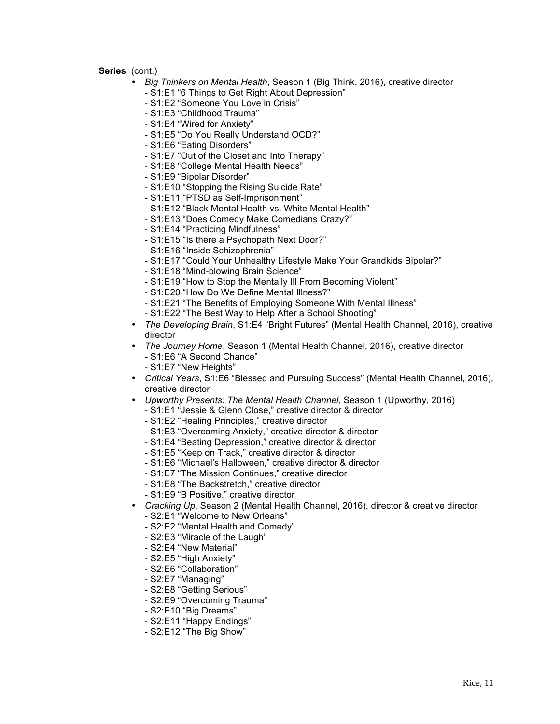- *Big Thinkers on Mental Health*, Season 1 (Big Think, 2016), creative director
	- S1:E1 "6 Things to Get Right About Depression"
	- S1:E2 "Someone You Love in Crisis"
	- S1:E3 "Childhood Trauma"
	- S1:E4 "Wired for Anxiety"
	- S1:E5 "Do You Really Understand OCD?"
	- S1:E6 "Eating Disorders"
	- S1:E7 "Out of the Closet and Into Therapy"
	- S1:E8 "College Mental Health Needs"
	- S1:E9 "Bipolar Disorder"
	- S1:E10 "Stopping the Rising Suicide Rate"
	- S1:E11 "PTSD as Self-Imprisonment"
	- S1:E12 "Black Mental Health vs. White Mental Health"
	- S1:E13 "Does Comedy Make Comedians Crazy?"
	- S1:E14 "Practicing Mindfulness"
	- S1:E15 "Is there a Psychopath Next Door?"
	- S1:E16 "Inside Schizophrenia"
	- S1:E17 "Could Your Unhealthy Lifestyle Make Your Grandkids Bipolar?"
	- S1:E18 "Mind-blowing Brain Science"
	- S1:E19 "How to Stop the Mentally Ill From Becoming Violent"
	- S1:E20 "How Do We Define Mental Illness?"
	- S1:E21 "The Benefits of Employing Someone With Mental Illness"
	- S1:E22 "The Best Way to Help After a School Shooting"
- *The Developing Brain*, S1:E4 "Bright Futures" (Mental Health Channel, 2016), creative director
- *The Journey Home*, Season 1 (Mental Health Channel, 2016), creative director *-* S1:E6 "A Second Chance"
	- S1:E7 "New Heights"
- *Critical Years*, S1:E6 "Blessed and Pursuing Success" (Mental Health Channel, 2016), creative director
- *Upworthy Presents: The Mental Health Channel*, Season 1 (Upworthy, 2016)
	- S1:E1 "Jessie & Glenn Close," creative director & director
	- S1:E2 "Healing Principles," creative director
	- S1:E3 "Overcoming Anxiety," creative director & director
	- S1:E4 "Beating Depression," creative director & director
	- S1:E5 "Keep on Track," creative director & director
	- S1:E6 "Michael's Halloween," creative director & director
	- S1:E7 "The Mission Continues," creative director
	- S1:E8 "The Backstretch," creative director
	- S1:E9 "B Positive," creative director
- *Cracking Up*, Season 2 (Mental Health Channel, 2016), director & creative director - S2:E1 "Welcome to New Orleans"
	- S2:E2 "Mental Health and Comedy"
	- S2:E3 "Miracle of the Laugh"
	- S2:E4 "New Material"
	- S2:E5 "High Anxiety"
	- S2:E6 "Collaboration"
	- S2:E7 "Managing"
	- S2:E8 "Getting Serious"
	- S2:E9 "Overcoming Trauma"
	- S2:E10 "Big Dreams"
	- S2:E11 "Happy Endings"
	- S2:E12 "The Big Show"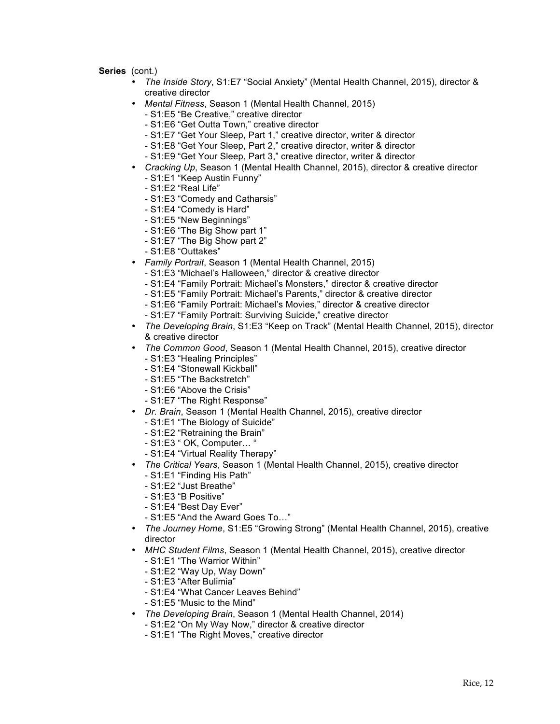- *The Inside Story*, S1:E7 "Social Anxiety" (Mental Health Channel, 2015), director & creative director
- *Mental Fitness*, Season 1 (Mental Health Channel, 2015)
	- S1:E5 "Be Creative," creative director
	- S1:E6 "Get Outta Town," creative director
	- S1:E7 "Get Your Sleep, Part 1," creative director, writer & director
	- S1:E8 "Get Your Sleep, Part 2," creative director, writer & director
	- S1:E9 "Get Your Sleep, Part 3," creative director, writer & director
- *Cracking Up*, Season 1 (Mental Health Channel, 2015), director & creative director - S1:E1 "Keep Austin Funny"
	- S1:E2 "Real Life"
	- S1:E3 "Comedy and Catharsis"
	- S1:E4 "Comedy is Hard"
	- S1:E5 "New Beginnings"
	- S1:E6 "The Big Show part 1"
	- S1:E7 "The Big Show part 2"
	- S1:E8 "Outtakes"
- *Family Portrait*, Season 1 (Mental Health Channel, 2015)
	- S1:E3 "Michael's Halloween," director & creative director
	- S1:E4 "Family Portrait: Michael's Monsters," director & creative director
	- S1:E5 "Family Portrait: Michael's Parents," director & creative director
	- S1:E6 "Family Portrait: Michael's Movies," director & creative director
	- S1:E7 "Family Portrait: Surviving Suicide," creative director
- *The Developing Brain*, S1:E3 "Keep on Track" (Mental Health Channel, 2015), director & creative director
- *The Common Good*, Season 1 (Mental Health Channel, 2015), creative director - S1:E3 "Healing Principles"
	- S1:E4 "Stonewall Kickball"
	- S1:E5 "The Backstretch"
	- S1:E6 "Above the Crisis"
	- S1:E7 "The Right Response"
- *Dr. Brain*, Season 1 (Mental Health Channel, 2015), creative director
	- S1:E1 "The Biology of Suicide"
	- S1:E2 "Retraining the Brain"
	- S1:E3 " OK, Computer… "
	- S1:E4 "Virtual Reality Therapy"
- *The Critical Years*, Season 1 (Mental Health Channel, 2015), creative director
	- S1:E1 "Finding His Path"
	- S1:E2 "Just Breathe"
	- S1:E3 "B Positive"
	- S1:E4 "Best Day Ever"
	- S1:E5 "And the Award Goes To…"
- *The Journey Home*, S1:E5 "Growing Strong" (Mental Health Channel, 2015), creative director
- *MHC Student Films*, Season 1 (Mental Health Channel, 2015), creative director - S1:E1 "The Warrior Within"
	- S1:E2 "Way Up, Way Down"
	-
	- S1:E3 "After Bulimia"
	- S1:E4 "What Cancer Leaves Behind"
	- S1:E5 "Music to the Mind"
- *The Developing Brain*, Season 1 (Mental Health Channel, 2014)
	- S1:E2 "On My Way Now," director & creative director
	- S1:E1 "The Right Moves," creative director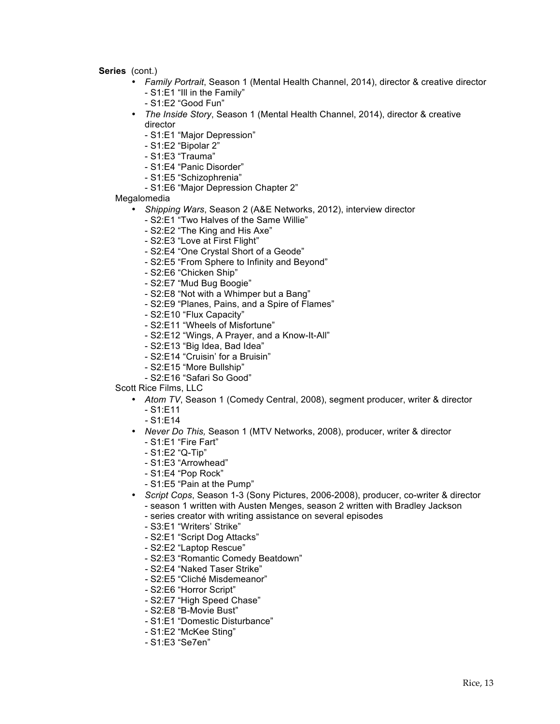- *Family Portrait*, Season 1 (Mental Health Channel, 2014), director & creative director - S1:E1 "Ill in the Family"
	- S1:E2 "Good Fun"
- *The Inside Story*, Season 1 (Mental Health Channel, 2014), director & creative director
	- S1:E1 "Major Depression"
	- S1:E2 "Bipolar 2"
	- S1:E3 "Trauma"
	- S1:E4 "Panic Disorder"
	- S1:E5 "Schizophrenia"
	- S1:E6 "Major Depression Chapter 2"
- Megalomedia
	- *Shipping Wars*, Season 2 (A&E Networks, 2012), interview director
		- S2:E1 "Two Halves of the Same Willie"
		- S2:E2 "The King and His Axe"
		- S2:E3 "Love at First Flight"
		- S2:E4 "One Crystal Short of a Geode"
		- S2:E5 "From Sphere to Infinity and Beyond"
		- S2:E6 "Chicken Ship"
		- S2:E7 "Mud Bug Boogie"
		- S2:E8 "Not with a Whimper but a Bang"
		- S2:E9 "Planes, Pains, and a Spire of Flames"
		- S2:E10 "Flux Capacity"
		- S2:E11 "Wheels of Misfortune"
		- S2:E12 "Wings, A Prayer, and a Know-It-All"
		- S2:E13 "Big Idea, Bad Idea"
		- S2:E14 "Cruisin' for a Bruisin"
		- S2:E15 "More Bullship"
		- S2:E16 "Safari So Good"
- Scott Rice Films, LLC
	- *Atom TV*, Season 1 (Comedy Central, 2008), segment producer, writer & director
		- S1:E11
		- *-* S1:E14
	- *Never Do This,* Season 1 (MTV Networks, 2008), producer, writer & director
		- S1:E1 "Fire Fart"
		- S1:E2 "Q-Tip"
		- S1:E3 "Arrowhead"
		- S1:E4 "Pop Rock"
		- S1:E5 "Pain at the Pump"
	- *Script Cops*, Season 1-3 (Sony Pictures, 2006-2008), producer, co-writer & director - season 1 written with Austen Menges, season 2 written with Bradley Jackson
		- series creator with writing assistance on several episodes
		- S3:E1 "Writers' Strike"
		- *-* S2:E1 "Script Dog Attacks"
		- S2:E2 "Laptop Rescue"
		- S2:E3 "Romantic Comedy Beatdown"
		- *-* S2:E4 "Naked Taser Strike"
		- *-* S2:E5 "Cliché Misdemeanor"
		- *-* S2:E6 "Horror Script"
		- *-* S2:E7 "High Speed Chase"
		- *-* S2:E8 "B-Movie Bust"
		- *-* S1:E1 "Domestic Disturbance"
		- *-* S1:E2 "McKee Sting"
		- *-* S1:E3 "Se7en"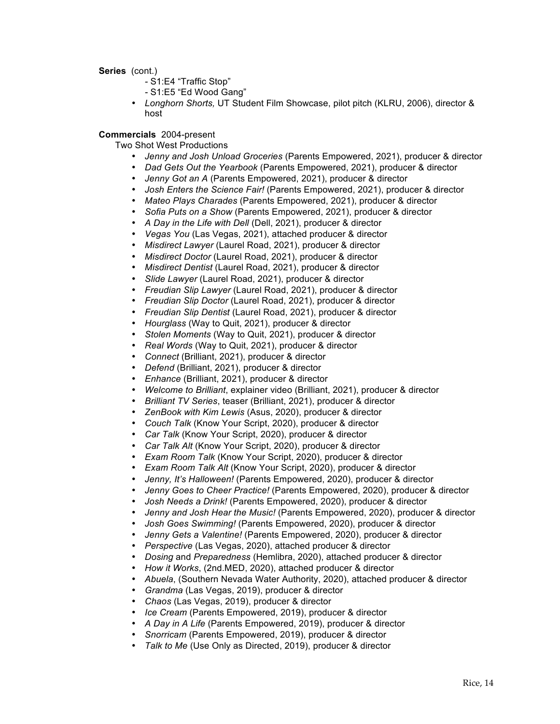- *-* S1:E4 "Traffic Stop"
- *-* S1:E5 "Ed Wood Gang"
- *Longhorn Shorts,* UT Student Film Showcase, pilot pitch (KLRU, 2006), director & host

# **Commercials** 2004-present

- Two Shot West Productions
	- *Jenny and Josh Unload Groceries* (Parents Empowered, 2021), producer & director
	- *Dad Gets Out the Yearbook* (Parents Empowered, 2021), producer & director
	- *Jenny Got an A* (Parents Empowered, 2021), producer & director
	- *Josh Enters the Science Fair!* (Parents Empowered, 2021), producer & director
	- *Mateo Plays Charades* (Parents Empowered, 2021), producer & director
	- *Sofia Puts on a Show* (Parents Empowered, 2021), producer & director
	- *A Day in the Life with Dell* (Dell, 2021), producer & director
	- *Vegas You* (Las Vegas, 2021), attached producer & director
	- *Misdirect Lawyer* (Laurel Road, 2021), producer & director
	- *Misdirect Doctor* (Laurel Road, 2021), producer & director
	- *Misdirect Dentist* (Laurel Road, 2021), producer & director
	- *Slide Lawyer* (Laurel Road, 2021), producer & director
	- *Freudian Slip Lawyer* (Laurel Road, 2021), producer & director
	- *Freudian Slip Doctor* (Laurel Road, 2021), producer & director
	- *Freudian Slip Dentist* (Laurel Road, 2021), producer & director
	- *Hourglass* (Way to Quit, 2021), producer & director
	- *Stolen Moments* (Way to Quit, 2021), producer & director
	- *Real Words* (Way to Quit, 2021), producer & director
	- *Connect* (Brilliant, 2021), producer & director
	- *Defend* (Brilliant, 2021), producer & director
	- *Enhance* (Brilliant, 2021), producer & director
	- *Welcome to Brilliant*, explainer video (Brilliant, 2021), producer & director
	- *Brilliant TV Series*, teaser (Brilliant, 2021), producer & director
	- *ZenBook with Kim Lewis* (Asus, 2020), producer & director
	- *Couch Talk* (Know Your Script, 2020), producer & director
	- *Car Talk* (Know Your Script, 2020), producer & director
	- *Car Talk Alt* (Know Your Script, 2020), producer & director
	- *Exam Room Talk* (Know Your Script, 2020), producer & director
	- *Exam Room Talk Alt* (Know Your Script, 2020), producer & director
	- *Jenny, It's Halloween!* (Parents Empowered, 2020), producer & director
	- *Jenny Goes to Cheer Practice!* (Parents Empowered, 2020), producer & director
	- *Josh Needs a Drink!* (Parents Empowered, 2020), producer & director
	- *Jenny and Josh Hear the Music!* (Parents Empowered, 2020), producer & director
	- *Josh Goes Swimming!* (Parents Empowered, 2020), producer & director
	- *Jenny Gets a Valentine!* (Parents Empowered, 2020), producer & director
	- *Perspective* (Las Vegas, 2020), attached producer & director
	- *Dosing* and *Preparedness* (Hemlibra, 2020), attached producer & director
	- *How it Works*, (2nd.MED, 2020), attached producer & director
	- *Abuela*, (Southern Nevada Water Authority, 2020), attached producer & director
	- *Grandma* (Las Vegas, 2019), producer & director
	- *Chaos* (Las Vegas, 2019), producer & director
	- *Ice Cream* (Parents Empowered, 2019), producer & director
	- *A Day in A Life* (Parents Empowered, 2019), producer & director
	- *Snorricam* (Parents Empowered, 2019), producer & director
	- *Talk to Me* (Use Only as Directed, 2019), producer & director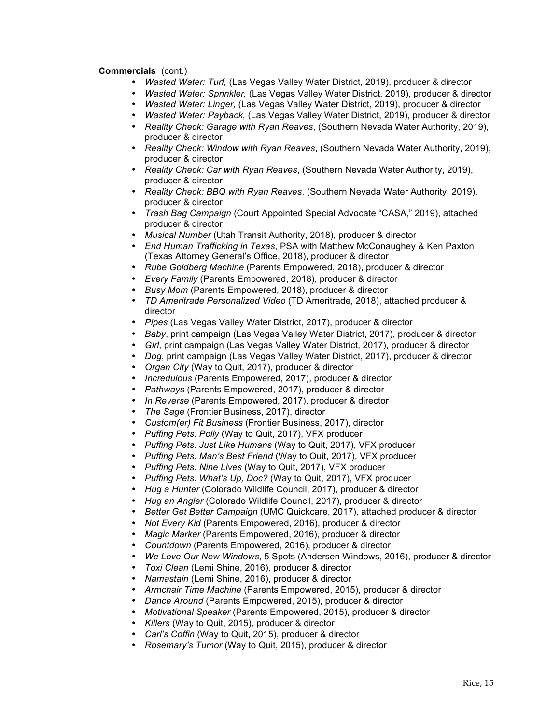- *Wasted Water: Turf,* (Las Vegas Valley Water District, 2019), producer & director
- *Wasted Water: Sprinkler,* (Las Vegas Valley Water District, 2019), producer & director
- *Wasted Water: Linger,* (Las Vegas Valley Water District, 2019), producer & director
- *Wasted Water: Payback,* (Las Vegas Valley Water District, 2019), producer & director
- *Reality Check: Garage with Ryan Reaves*, (Southern Nevada Water Authority, 2019), producer & director
- *Reality Check: Window with Ryan Reaves*, (Southern Nevada Water Authority, 2019), producer & director
- *Reality Check: Car with Ryan Reaves*, (Southern Nevada Water Authority, 2019), producer & director
- *Reality Check: BBQ with Ryan Reaves*, (Southern Nevada Water Authority, 2019), producer & director
- *Trash Bag Campaign* (Court Appointed Special Advocate "CASA," 2019), attached producer & director
- *Musical Number* (Utah Transit Authority, 2018), producer & director
- *End Human Trafficking in Texas*, PSA with Matthew McConaughey & Ken Paxton (Texas Attorney General's Office, 2018), producer & director
- *Rube Goldberg Machine* (Parents Empowered, 2018), producer & director
- *Every Family* (Parents Empowered, 2018), producer & director
- *Busy Mom* (Parents Empowered, 2018), producer & director
- *TD Ameritrade Personalized Video* (TD Ameritrade, 2018), attached producer & director
- *Pipes* (Las Vegas Valley Water District, 2017), producer & director
- *Baby*, print campaign (Las Vegas Valley Water District, 2017), producer & director
- *Girl*, print campaign (Las Vegas Valley Water District, 2017), producer & director
- *Dog*, print campaign (Las Vegas Valley Water District, 2017), producer & director
- *Organ City* (Way to Quit, 2017), producer & director
- *Incredulous* (Parents Empowered, 2017), producer & director
- *Pathways* (Parents Empowered, 2017), producer & director
- *In Reverse* (Parents Empowered, 2017), producer & director
- *The Sage* (Frontier Business, 2017), director
- *Custom(er) Fit Business* (Frontier Business, 2017), director
- *Puffing Pets: Polly* (Way to Quit, 2017), VFX producer
- *Puffing Pets: Just Like Humans* (Way to Quit, 2017), VFX producer
- *Puffing Pets: Man's Best Friend* (Way to Quit, 2017), VFX producer
- *Puffing Pets: Nine Lives* (Way to Quit, 2017), VFX producer
- *Puffing Pets: What's Up, Doc?* (Way to Quit, 2017), VFX producer
- *Hug a Hunter* (Colorado Wildlife Council, 2017), producer & director
- *Hug an Angler* (Colorado Wildlife Council, 2017), producer & director
- *Better Get Better Campaign* (UMC Quickcare, 2017), attached producer & director
- *Not Every Kid* (Parents Empowered, 2016), producer & director
- *Magic Marker* (Parents Empowered, 2016), producer & director
- *Countdown* (Parents Empowered, 2016), producer & director
- *We Love Our New Windows*, 5 Spots (Andersen Windows, 2016), producer & director
- *Toxi Clean* (Lemi Shine, 2016), producer & director
- *Namastain* (Lemi Shine, 2016), producer & director
- *Armchair Time Machine* (Parents Empowered, 2015), producer & director
- *Dance Around* (Parents Empowered, 2015), producer & director
- *Motivational Speaker* (Parents Empowered, 2015), producer & director
- *Killers* (Way to Quit, 2015), producer & director
- *Carl's Coffin* (Way to Quit, 2015), producer & director
- *Rosemary's Tumor* (Way to Quit, 2015), producer & director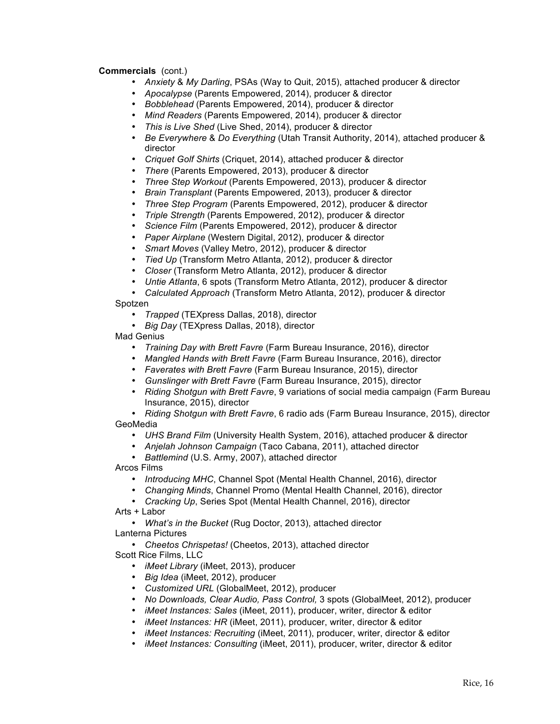- *Anxiety* & *My Darling*, PSAs (Way to Quit, 2015), attached producer & director
- *Apocalypse* (Parents Empowered, 2014), producer & director
- *Bobblehead* (Parents Empowered, 2014), producer & director
- *Mind Readers* (Parents Empowered, 2014), producer & director
- *This is Live Shed* (Live Shed, 2014), producer & director
- *Be Everywhere* & *Do Everything* (Utah Transit Authority, 2014), attached producer & director
- *Criquet Golf Shirts* (Criquet, 2014), attached producer & director
- *There* (Parents Empowered, 2013), producer & director
- *Three Step Workout* (Parents Empowered, 2013), producer & director
- *Brain Transplant* (Parents Empowered, 2013), producer & director
- *Three Step Program* (Parents Empowered, 2012), producer & director
- *Triple Strength* (Parents Empowered, 2012), producer & director
- *Science Film* (Parents Empowered, 2012), producer & director
- *Paper Airplane* (Western Digital, 2012), producer & director
- *Smart Moves* (Valley Metro, 2012), producer & director
- *Tied Up* (Transform Metro Atlanta, 2012), producer & director
- *Closer* (Transform Metro Atlanta, 2012), producer & director
- *Untie Atlanta*, 6 spots (Transform Metro Atlanta, 2012), producer & director

• *Calculated Approach* (Transform Metro Atlanta, 2012), producer & director

Spotzen

- *Trapped* (TEXpress Dallas, 2018), director
- *Big Day* (TEXpress Dallas, 2018), director

Mad Genius

- *Training Day with Brett Favre* (Farm Bureau Insurance, 2016), director
- *Mangled Hands with Brett Favre* (Farm Bureau Insurance, 2016), director
- *Faverates with Brett Favre* (Farm Bureau Insurance, 2015), director
- *Gunslinger with Brett Favre* (Farm Bureau Insurance, 2015), director
- *Riding Shotgun with Brett Favre*, 9 variations of social media campaign (Farm Bureau Insurance, 2015), director

• *Riding Shotgun with Brett Favre*, 6 radio ads (Farm Bureau Insurance, 2015), director GeoMedia

- *UHS Brand Film* (University Health System, 2016), attached producer & director
- *Anjelah Johnson Campaign* (Taco Cabana, 2011), attached director
- *Battlemind* (U.S. Army, 2007), attached director

Arcos Films

- *Introducing MHC*, Channel Spot (Mental Health Channel, 2016), director
- *Changing Minds*, Channel Promo (Mental Health Channel, 2016), director
- *Cracking Up*, Series Spot (Mental Health Channel, 2016), director

Arts + Labor

• *What's in the Bucket* (Rug Doctor, 2013), attached director Lanterna Pictures

• *Cheetos Chrispetas!* (Cheetos, 2013), attached director

Scott Rice Films, LLC

- *iMeet Library* (iMeet, 2013), producer
- *Big Idea* (iMeet, 2012), producer
- *Customized URL* (GlobalMeet, 2012), producer
- *No Downloads, Clear Audio, Pass Control,* 3 spots (GlobalMeet, 2012), producer
- *iMeet Instances: Sales* (iMeet, 2011), producer, writer, director & editor
- *iMeet Instances: HR* (iMeet, 2011), producer, writer, director & editor
- *iMeet Instances: Recruiting* (iMeet, 2011), producer, writer, director & editor
- *iMeet Instances: Consulting* (iMeet, 2011), producer, writer, director & editor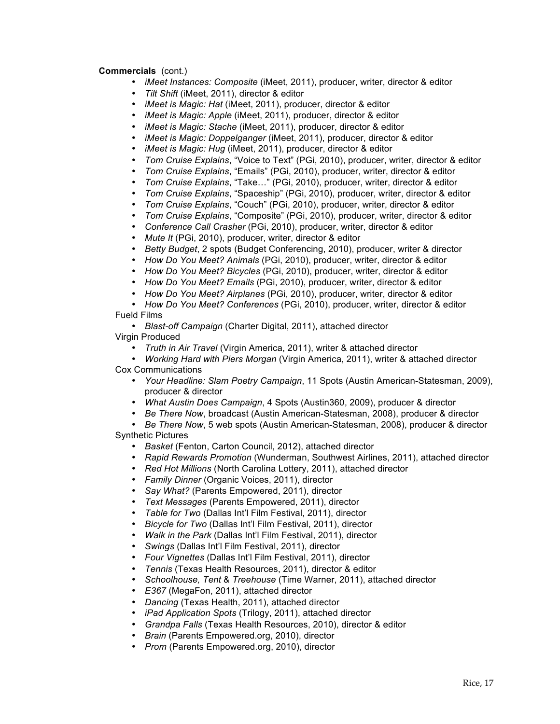- *iMeet Instances: Composite* (iMeet, 2011), producer, writer, director & editor
- *Tilt Shift* (iMeet, 2011), director & editor
- *iMeet is Magic: Hat* (iMeet, 2011), producer, director & editor
- *iMeet is Magic: Apple* (iMeet, 2011), producer, director & editor
- *iMeet is Magic: Stache* (iMeet, 2011), producer, director & editor
- *iMeet is Magic: Doppelganger* (iMeet, 2011), producer, director & editor
- *iMeet is Magic: Hug* (iMeet, 2011), producer, director & editor
- *Tom Cruise Explains*, "Voice to Text" (PGi, 2010), producer, writer, director & editor
- *Tom Cruise Explains*, "Emails" (PGi, 2010), producer, writer, director & editor
- *Tom Cruise Explains*, "Take…" (PGi, 2010), producer, writer, director & editor
- *Tom Cruise Explains*, "Spaceship" (PGi, 2010), producer, writer, director & editor
- *Tom Cruise Explains*, "Couch" (PGi, 2010), producer, writer, director & editor
- *Tom Cruise Explains*, "Composite" (PGi, 2010), producer, writer, director & editor
- *Conference Call Crasher* (PGi, 2010), producer, writer, director & editor
- *Mute It* (PGi, 2010), producer, writer, director & editor
- *Betty Budget*, 2 spots (Budget Conferencing, 2010), producer, writer & director
- *How Do You Meet? Animals* (PGi, 2010), producer, writer, director & editor
- *How Do You Meet? Bicycles* (PGi, 2010), producer, writer, director & editor
- *How Do You Meet? Emails* (PGi, 2010), producer, writer, director & editor
- *How Do You Meet? Airplanes* (PGi, 2010), producer, writer, director & editor
- *How Do You Meet? Conferences* (PGi, 2010), producer, writer, director & editor Fueld Films

• *Blast-off Campaign* (Charter Digital, 2011), attached director Virgin Produced

- *Truth in Air Travel* (Virgin America, 2011), writer & attached director
- *Working Hard with Piers Morgan* (Virgin America, 2011), writer & attached director Cox Communications
	- *Your Headline: Slam Poetry Campaign*, 11 Spots (Austin American-Statesman, 2009), producer & director
	- *What Austin Does Campaign*, 4 Spots (Austin360, 2009), producer & director
	- *Be There Now*, broadcast (Austin American-Statesman, 2008), producer & director

• *Be There Now*, 5 web spots (Austin American-Statesman, 2008), producer & director Synthetic Pictures

- *Basket* (Fenton, Carton Council, 2012), attached director
- *Rapid Rewards Promotion* (Wunderman, Southwest Airlines, 2011), attached director
- *Red Hot Millions* (North Carolina Lottery, 2011), attached director
- *Family Dinner* (Organic Voices, 2011), director
- *Say What?* (Parents Empowered, 2011), director
- *Text Messages* (Parents Empowered, 2011), director
- *Table for Two* (Dallas Int'l Film Festival, 2011), director
- *Bicycle for Two* (Dallas Int'l Film Festival, 2011), director
- *Walk in the Park* (Dallas Int'l Film Festival, 2011), director
- *Swings* (Dallas Int'l Film Festival, 2011), director
- *Four Vignettes* (Dallas Int'l Film Festival, 2011), director
- *Tennis* (Texas Health Resources, 2011), director & editor
- *Schoolhouse, Tent* & *Treehouse* (Time Warner, 2011), attached director
- *E367* (MegaFon, 2011), attached director
- *Dancing* (Texas Health, 2011), attached director
- *iPad Application Spots* (Trilogy, 2011), attached director
- *Grandpa Falls* (Texas Health Resources, 2010), director & editor
- *Brain* (Parents Empowered.org, 2010), director
- *Prom* (Parents Empowered.org, 2010), director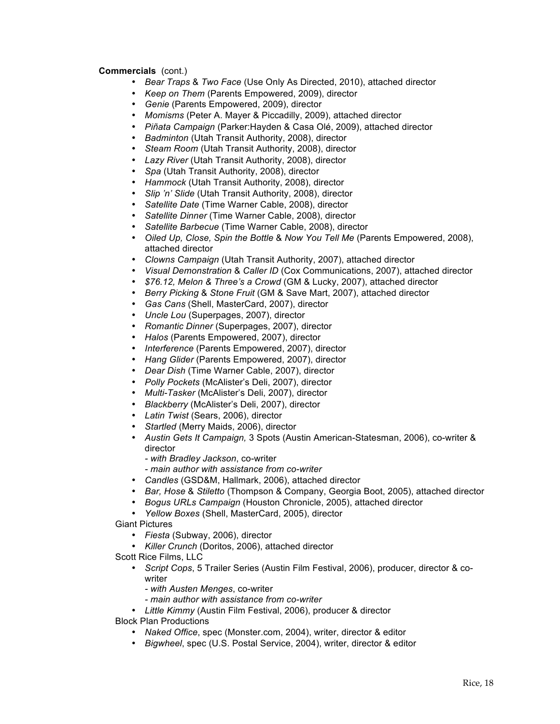- *Bear Traps* & *Two Face* (Use Only As Directed, 2010), attached director
- *Keep on Them* (Parents Empowered, 2009), director
- *Genie* (Parents Empowered, 2009), director
- *Momisms* (Peter A. Mayer & Piccadilly, 2009), attached director
- *Piñata Campaign* (Parker:Hayden & Casa Olé, 2009), attached director
- *Badminton* (Utah Transit Authority, 2008), director
- *Steam Room* (Utah Transit Authority, 2008), director
- *Lazy River* (Utah Transit Authority, 2008), director
- *Spa* (Utah Transit Authority, 2008), director
- *Hammock* (Utah Transit Authority, 2008), director
- *Slip 'n' Slide* (Utah Transit Authority, 2008), director
- *Satellite Date* (Time Warner Cable, 2008), director
- *Satellite Dinner* (Time Warner Cable, 2008), director
- *Satellite Barbecue* (Time Warner Cable, 2008), director
- *Oiled Up, Close, Spin the Bottle* & *Now You Tell Me* (Parents Empowered, 2008), attached director
- *Clowns Campaign* (Utah Transit Authority, 2007), attached director
- *Visual Demonstration* & *Caller ID* (Cox Communications, 2007), attached director
- *\$76.12, Melon & Three's a Crowd* (GM & Lucky, 2007), attached director
- *Berry Picking* & *Stone Fruit* (GM & Save Mart, 2007), attached director
- *Gas Cans* (Shell, MasterCard, 2007), director
- *Uncle Lou* (Superpages, 2007), director
- *Romantic Dinner* (Superpages, 2007), director
- *Halos* (Parents Empowered, 2007), director
- *Interference* (Parents Empowered, 2007), director
- *Hang Glider* (Parents Empowered, 2007), director
- *Dear Dish* (Time Warner Cable, 2007), director
- *Polly Pockets* (McAlister's Deli, 2007), director
- *Multi-Tasker* (McAlister's Deli, 2007), director
- *Blackberry* (McAlister's Deli, 2007), director
- *Latin Twist* (Sears, 2006), director
- *Startled* (Merry Maids, 2006), director
- *Austin Gets It Campaign,* 3 Spots (Austin American-Statesman, 2006), co-writer & director
	- *- with Bradley Jackson*, co-writer
	- *- main author with assistance from co-writer*
- *Candles* (GSD&M, Hallmark, 2006), attached director
- *Bar, Hose* & *Stiletto* (Thompson & Company, Georgia Boot, 2005), attached director
- *Bogus URLs Campaign* (Houston Chronicle, 2005), attached director
- *Yellow Boxes* (Shell, MasterCard, 2005), director
- Giant Pictures
	- *Fiesta* (Subway, 2006), director
	- *Killer Crunch* (Doritos, 2006), attached director
- Scott Rice Films, LLC
	- *Script Cops*, 5 Trailer Series (Austin Film Festival, 2006), producer, director & cowriter
		- *- with Austen Menges*, co-writer
		- *- main author with assistance from co-writer*
	- *Little Kimmy* (Austin Film Festival, 2006), producer & director
- Block Plan Productions
	- *Naked Office*, spec (Monster.com, 2004), writer, director & editor
	- *Bigwheel*, spec (U.S. Postal Service, 2004), writer, director & editor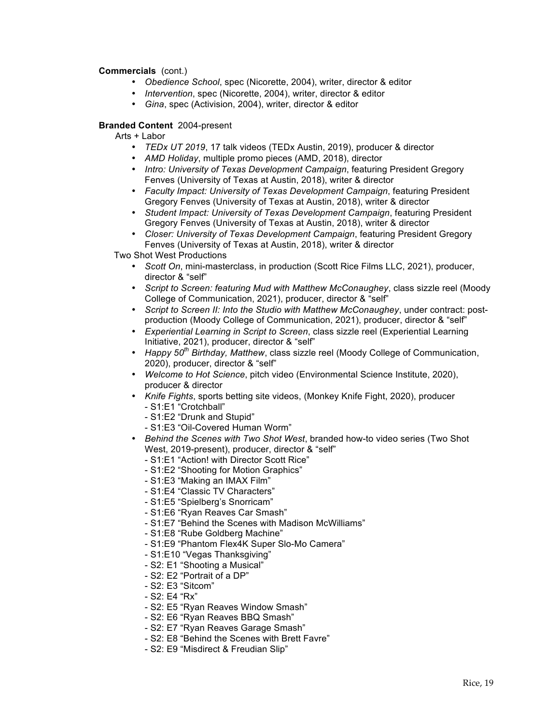- *Obedience School*, spec (Nicorette, 2004), writer, director & editor
- *Intervention*, spec (Nicorette, 2004), writer, director & editor
- *Gina*, spec (Activision, 2004), writer, director & editor

# **Branded Content** 2004-present

Arts + Labor

- *TEDx UT 2019*, 17 talk videos (TEDx Austin, 2019), producer & director
- *AMD Holiday*, multiple promo pieces (AMD, 2018), director
- *Intro: University of Texas Development Campaign*, featuring President Gregory Fenves (University of Texas at Austin, 2018), writer & director
- *Faculty Impact: University of Texas Development Campaign*, featuring President Gregory Fenves (University of Texas at Austin, 2018), writer & director
- *Student Impact: University of Texas Development Campaign*, featuring President Gregory Fenves (University of Texas at Austin, 2018), writer & director
- *Closer: University of Texas Development Campaign*, featuring President Gregory Fenves (University of Texas at Austin, 2018), writer & director

Two Shot West Productions

- *Scott On*, mini-masterclass, in production (Scott Rice Films LLC, 2021), producer, director & "self"
- *Script to Screen: featuring Mud with Matthew McConaughey*, class sizzle reel (Moody College of Communication, 2021), producer, director & "self"
- *Script to Screen II: Into the Studio with Matthew McConaughey*, under contract: postproduction (Moody College of Communication, 2021), producer, director & "self"
- *Experiential Learning in Script to Screen*, class sizzle reel (Experiential Learning Initiative, 2021), producer, director & "self"
- *Happy 50th Birthday, Matthew*, class sizzle reel (Moody College of Communication, 2020), producer, director & "self"
- *Welcome to Hot Science*, pitch video (Environmental Science Institute, 2020), producer & director
- *Knife Fights*, sports betting site videos, (Monkey Knife Fight, 2020), producer - S1:E1 "Crotchball"
	- S1:E2 "Drunk and Stupid"
	- S1:E3 "Oil-Covered Human Worm"
- *Behind the Scenes with Two Shot West*, branded how-to video series (Two Shot West, 2019-present), producer, director & "self"
	- S1:E1 "Action! with Director Scott Rice"
	- S1:E2 "Shooting for Motion Graphics"
	- S1:E3 "Making an IMAX Film"
	- S1:E4 "Classic TV Characters"
	- S1:E5 "Spielberg's Snorricam"
	- S1:E6 "Ryan Reaves Car Smash"
	- S1:E7 "Behind the Scenes with Madison McWilliams"
	- S1:E8 "Rube Goldberg Machine"
	- S1:E9 "Phantom Flex4K Super Slo-Mo Camera"
	- S1:E10 "Vegas Thanksgiving"
	- S2: E1 "Shooting a Musical"
	- S2: E2 "Portrait of a DP"
	- S2: E3 "Sitcom"
	- S2: E4 "Rx"
	- S2: E5 "Ryan Reaves Window Smash"
	- S2: E6 "Ryan Reaves BBQ Smash"
	- S2: E7 "Ryan Reaves Garage Smash"
	- S2: E8 "Behind the Scenes with Brett Favre"
	- S2: E9 "Misdirect & Freudian Slip"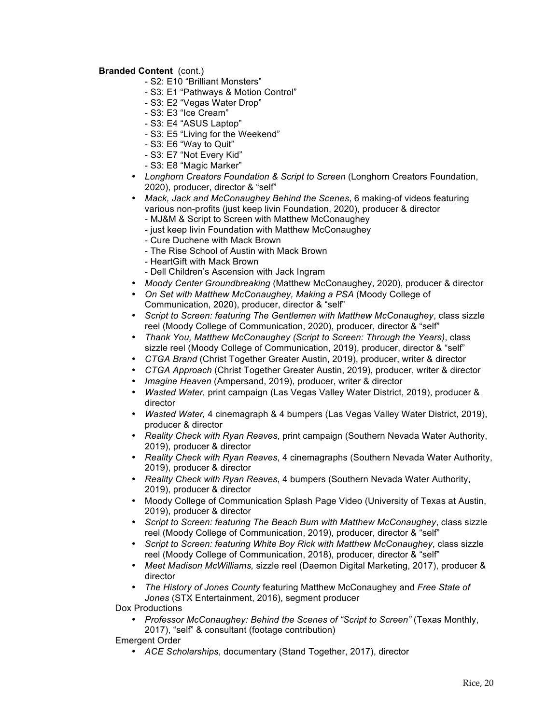# **Branded Content** (cont.)

- S2: E10 "Brilliant Monsters"
- S3: E1 "Pathways & Motion Control"
- S3: E2 "Vegas Water Drop"
- S3: E3 "Ice Cream"
- S3: E4 "ASUS Laptop"
- S3: E5 "Living for the Weekend"
- S3: E6 "Way to Quit"
- S3: E7 "Not Every Kid"
- S3: E8 "Magic Marker"
- *Longhorn Creators Foundation & Script to Screen* (Longhorn Creators Foundation, 2020), producer, director & "self"
- *Mack, Jack and McConaughey Behind the Scenes*, 6 making-of videos featuring various non-profits (just keep livin Foundation, 2020), producer & director
	- MJ&M & Script to Screen with Matthew McConaughey
	- just keep livin Foundation with Matthew McConaughey
	- Cure Duchene with Mack Brown
	- The Rise School of Austin with Mack Brown
	- HeartGift with Mack Brown
	- Dell Children's Ascension with Jack Ingram
- *Moody Center Groundbreaking* (Matthew McConaughey, 2020), producer & director
- *On Set with Matthew McConaughey, Making a PSA* (Moody College of Communication, 2020), producer, director & "self"
- *Script to Screen: featuring The Gentlemen with Matthew McConaughey*, class sizzle reel (Moody College of Communication, 2020), producer, director & "self"
- *Thank You, Matthew McConaughey (Script to Screen: Through the Years)*, class sizzle reel (Moody College of Communication, 2019), producer, director & "self"
- *CTGA Brand* (Christ Together Greater Austin, 2019), producer, writer & director
- *CTGA Approach* (Christ Together Greater Austin, 2019), producer, writer & director
- *Imagine Heaven* (Ampersand, 2019), producer, writer & director
- *Wasted Water,* print campaign (Las Vegas Valley Water District, 2019), producer & director
- *Wasted Water,* 4 cinemagraph & 4 bumpers (Las Vegas Valley Water District, 2019), producer & director
- *Reality Check with Ryan Reaves*, print campaign (Southern Nevada Water Authority, 2019), producer & director
- *Reality Check with Ryan Reaves*, 4 cinemagraphs (Southern Nevada Water Authority, 2019), producer & director
- *Reality Check with Ryan Reaves*, 4 bumpers (Southern Nevada Water Authority, 2019), producer & director
- Moody College of Communication Splash Page Video (University of Texas at Austin, 2019), producer & director
- *Script to Screen: featuring The Beach Bum with Matthew McConaughey*, class sizzle reel (Moody College of Communication, 2019), producer, director & "self"
- *Script to Screen: featuring White Boy Rick with Matthew McConaughey*, class sizzle reel (Moody College of Communication, 2018), producer, director & "self"
- *Meet Madison McWilliams,* sizzle reel (Daemon Digital Marketing, 2017), producer & director
- *The History of Jones County* featuring Matthew McConaughey and *Free State of Jones* (STX Entertainment, 2016), segment producer

Dox Productions

• *Professor McConaughey: Behind the Scenes of "Script to Screen"* (Texas Monthly, 2017), "self" & consultant (footage contribution)

## Emergent Order

• *ACE Scholarships*, documentary (Stand Together, 2017), director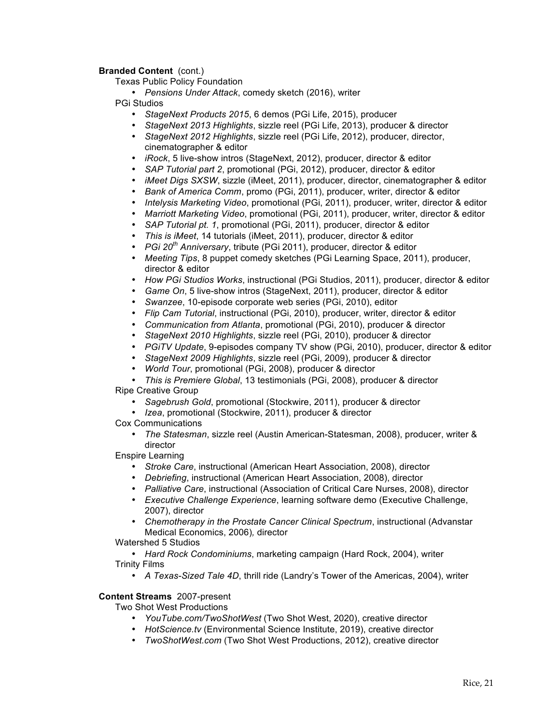## **Branded Content** (cont.)

Texas Public Policy Foundation

• *Pensions Under Attack*, comedy sketch (2016), writer

PGi Studios

- *StageNext Products 2015*, 6 demos (PGi Life, 2015), producer
- *StageNext 2013 Highlights*, sizzle reel (PGi Life, 2013), producer & director
- *StageNext 2012 Highlights*, sizzle reel (PGi Life, 2012), producer, director, cinematographer & editor
- *iRock*, 5 live-show intros (StageNext, 2012), producer, director & editor
- *SAP Tutorial part 2*, promotional (PGi, 2012), producer, director & editor
- *iMeet Digs SXSW*, sizzle (iMeet, 2011), producer, director, cinematographer & editor
- *Bank of America Comm*, promo (PGi, 2011), producer, writer, director & editor
- *Intelysis Marketing Video*, promotional (PGi, 2011), producer, writer, director & editor
- *Marriott Marketing Video*, promotional (PGi, 2011), producer, writer, director & editor
- *SAP Tutorial pt. 1*, promotional (PGi, 2011), producer, director & editor
- *This is iMeet*, 14 tutorials (iMeet, 2011), producer, director & editor
- *PGi 20th Anniversary*, tribute (PGi 2011), producer, director & editor
- *Meeting Tips*, 8 puppet comedy sketches (PGi Learning Space, 2011), producer, director & editor
- *How PGi Studios Works*, instructional (PGi Studios, 2011), producer, director & editor
- *Game On*, 5 live-show intros (StageNext, 2011), producer, director & editor
- *Swanzee*, 10-episode corporate web series (PGi, 2010), editor
- *Flip Cam Tutorial*, instructional (PGi, 2010), producer, writer, director & editor
- *Communication from Atlanta*, promotional (PGi, 2010), producer & director
- *StageNext 2010 Highlights*, sizzle reel (PGi, 2010), producer & director
- *PGiTV Update*, 9-episodes company TV show (PGi, 2010), producer, director & editor
- *StageNext 2009 Highlights*, sizzle reel (PGi, 2009), producer & director
- *World Tour*, promotional (PGi, 2008), producer & director
- *This is Premiere Global*, 13 testimonials (PGi, 2008), producer & director

Ripe Creative Group

- *Sagebrush Gold*, promotional (Stockwire, 2011), producer & director
- *Izea*, promotional (Stockwire, 2011), producer & director
- Cox Communications
	- *The Statesman*, sizzle reel (Austin American-Statesman, 2008), producer, writer & director

Enspire Learning

- *Stroke Care*, instructional (American Heart Association, 2008), director
- *Debriefing*, instructional (American Heart Association, 2008), director
- *Palliative Care*, instructional (Association of Critical Care Nurses, 2008), director
- *Executive Challenge Experience*, learning software demo (Executive Challenge, 2007), director
- *Chemotherapy in the Prostate Cancer Clinical Spectrum*, instructional (Advanstar Medical Economics, 2006)*,* director

Watershed 5 Studios

• *Hard Rock Condominiums*, marketing campaign (Hard Rock, 2004), writer Trinity Films

• *A Texas-Sized Tale 4D*, thrill ride (Landry's Tower of the Americas, 2004), writer

# **Content Streams**2007-present

Two Shot West Productions

- *YouTube.com/TwoShotWest* (Two Shot West, 2020), creative director
- *HotScience.tv* (Environmental Science Institute, 2019), creative director
- *TwoShotWest.com* (Two Shot West Productions, 2012), creative director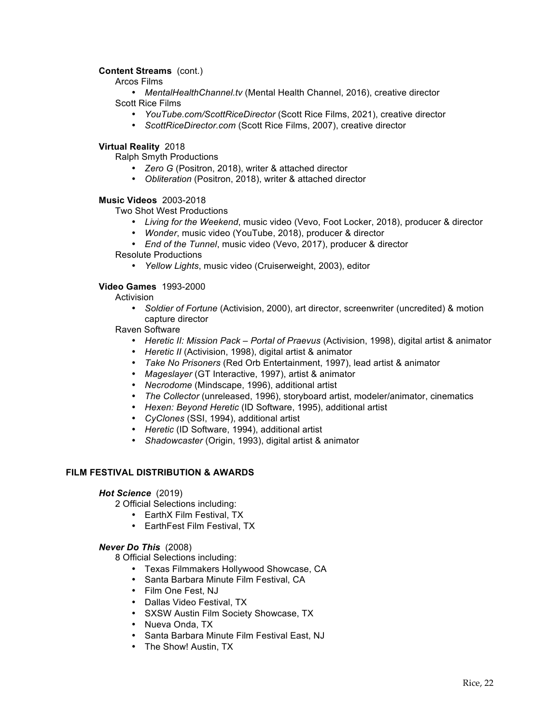# **Content Streams** (cont.)

Arcos Films

• *MentalHealthChannel.tv* (Mental Health Channel, 2016), creative director Scott Rice Films

- *YouTube.com/ScottRiceDirector* (Scott Rice Films, 2021), creative director
- *ScottRiceDirector.com* (Scott Rice Films, 2007), creative director

## **Virtual Reality** 2018

Ralph Smyth Productions

- *Zero G* (Positron, 2018), writer & attached director
- *Obliteration* (Positron, 2018), writer & attached director

## **Music Videos** 2003-2018

Two Shot West Productions

- *Living for the Weekend*, music video (Vevo, Foot Locker, 2018), producer & director
- *Wonder*, music video (YouTube, 2018), producer & director
- *End of the Tunnel*, music video (Vevo, 2017), producer & director

Resolute Productions

• *Yellow Lights*, music video (Cruiserweight, 2003), editor

## **Video Games** 1993-2000

**Activision** 

• *Soldier of Fortune* (Activision, 2000), art director, screenwriter (uncredited) & motion capture director

Raven Software

- *Heretic II: Mission Pack – Portal of Praevus* (Activision, 1998), digital artist & animator
- *Heretic II* (Activision, 1998), digital artist & animator
- *Take No Prisoners* (Red Orb Entertainment, 1997), lead artist & animator
- *Mageslayer* (GT Interactive, 1997), artist & animator
- *Necrodome* (Mindscape, 1996), additional artist
- *The Collector* (unreleased, 1996), storyboard artist, modeler/animator, cinematics
- *Hexen: Beyond Heretic* (ID Software, 1995), additional artist
- *CyClones* (SSI, 1994), additional artist
- *Heretic* (ID Software, 1994), additional artist
- *Shadowcaster* (Origin, 1993), digital artist & animator

## **FILM FESTIVAL DISTRIBUTION & AWARDS**

## *Hot Science*(2019)

2 Official Selections including:

- EarthX Film Festival, TX
- EarthFest Film Festival, TX

## *Never Do This* (2008)

8 Official Selections including:

- Texas Filmmakers Hollywood Showcase, CA
- Santa Barbara Minute Film Festival, CA
- Film One Fest, NJ
- Dallas Video Festival, TX
- SXSW Austin Film Society Showcase, TX
- Nueva Onda, TX
- Santa Barbara Minute Film Festival East, NJ
- The Show! Austin, TX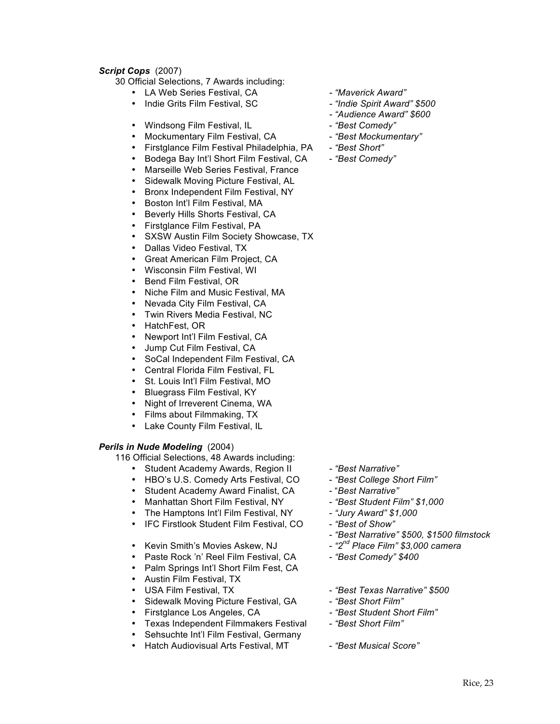# *Script Cops*(2007)

30 Official Selections, 7 Awards including:

- LA Web Series Festival, CA *- "Maverick Award"*
- Indie Grits Film Festival, SC *- "Indie Spirit Award" \$500*
- Windsong Film Festival, IL *"Best Comedy"*
- Mockumentary Film Festival, CA <sup>"Best</sup> Mockumentary"
- Firstglance Film Festival Philadelphia, PA *"Best Short"*
- Bodega Bay Int'l Short Film Festival, CA<br>• Marseille Web Series Festival, France
- Marseille Web Series Festival, France
- Sidewalk Moving Picture Festival, AL<br>• Bronx Independent Film Festival, NY
- Bronx Independent Film Festival, NY
- Boston Int'l Film Festival, MA
- Beverly Hills Shorts Festival, CA<br>• Firstolance Film Festival, PA
- Firstglance Film Festival, PA<br>• SXSW Austin Film Society Sh
- SXSW Austin Film Society Showcase, TX
- Dallas Video Festival, TX
- Great American Film Project, CA
- Wisconsin Film Festival, WI<br>• Bend Film Festival, OR
- Bend Film Festival, OR
- Niche Film and Music Festival, MA<br>• Nevada City Film Festival, CA
- Nevada City Film Festival, CA
- Twin Rivers Media Festival, NC
- HatchFest, OR
- Newport Int'l Film Festival, CA
- Jump Cut Film Festival, CA
- SoCal Independent Film Festival, CA
- Central Florida Film Festival, FL<br>• St. Louis Int'l Film Festival, MO
- St. Louis Int'l Film Festival, MO
- Bluegrass Film Festival, KY
- Night of Irreverent Cinema, WA
- Films about Filmmaking, TX
- Lake County Film Festival, IL

## *Perils in Nude Modeling* (2004)

116 Official Selections, 48 Awards including:

- 
- Student Academy Awards, Region II  *"Best Narrative"*<br>• HBO's U.S. Comedy Arts Festival, CO "Best College Short Film" • HBO's U.S. Comedy Arts Festival, CO
- Student Academy Award Finalist, CA "Best Narrative"
- Manhattan Short Film Festival, NY "Best Student Film" \$1,000
- The Hamptons Int'l Film Festival, NY "Jury Award" \$1,000
- IFC Firstlook Student Film Festival, CO "Best of Show"
- Kevin Smith's Movies Askew, NJ  $"2^{nd}$  Place Film" \$3,000 camera
- Paste Rock 'n' Reel Film Festival, CA *"Best Comedy" \$400*
- Palm Springs Int'l Short Film Fest, CA
- Austin Film Festival, TX
- 
- Sidewalk Moving Picture Festival, GA <sup>- "</sup>Best Short Film"<br>• Firstglance Los Angeles, CA - "Best Student Sh
- 
- Firstglance Los Angeles, CA *- "Best Student Short Film"* • Texas Independent Filmmakers Festival
- Sehsuchte Int'l Film Festival, Germany
- Hatch Audiovisual Arts Festival, MT "Best Musical Score"
- 
- 
- *- "Audience Award" \$600*
- 
- 
- 
- 

- 
- 
- 
- 
- 
- 
- *"Best Narrative" \$500, \$1500 filmstock*
- 
- 
- USA Film Festival, TX *"Best Texas Narrative" \$500* 
	-
	-
	-
	-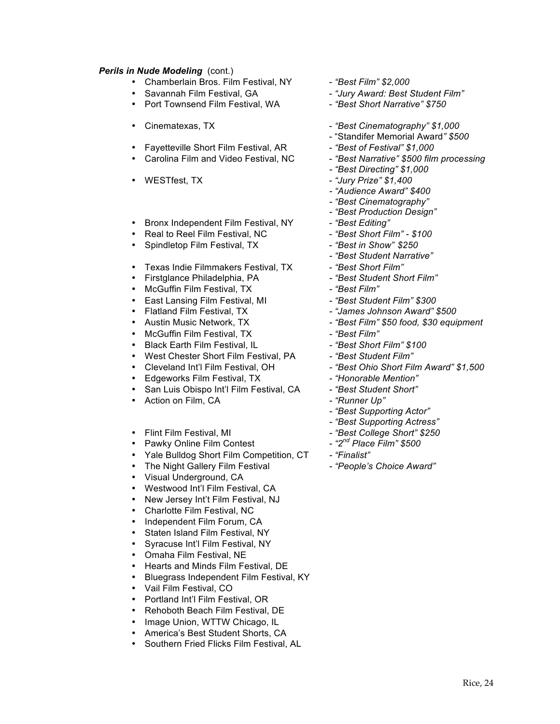# **Perils in Nude Modeling** (cont.)

- Chamberlain Bros. Film Festival, NY *"Best Film" \$2,000*
- 
- Port Townsend Film Festival, WA "Best Short Narrative" \$750
- 
- Fayetteville Short Film Festival, AR <sup>- "</sup>Best of Festival" \$1,000<br>• Carolina Film and Video Festival, NC "Best Narrative" \$500 film processing
- Carolina Film and Video Festival, NC
- 
- Bronx Independent Film Festival, NY "Best Editing"
- Real to Reel Film Festival, NC *"Best Short Film" - \$100*
- Spindletop Film Festival, TX "Best in Show" \$250
- Texas Indie Filmmakers Festival, TX *"Best Short Film"*
- Firstglance Philadelphia, PA
- McGuffin Film Festival, TX *- "Best Film"*
- East Lansing Film Festival, MI *- "Best Student Film" \$300*
- Flatland Film Festival, TX *- "James Johnson Award" \$500*
- 
- McGuffin Film Festival, TX *- "Best Film"*
- Black Earth Film Festival, IL *- "Best Short Film" \$100*
- West Chester Short Film Festival, PA *- "Best Student Film"*
- 
- 
- Edgeworks Film Festival, TX *- "Honorable Mention"* • San Luis Obispo Int'l Film Festival, CA
- Action on Film, CA *- "Runner Up"*
- Flint Film Festival, MI  *"Best College Short" \$250*<br>• Pawky Online Film Contest <sup>2nd</sup> Place Film" \$500
- Pawky Online Film Contest
- Yale Bulldog Short Film Competition, CT *- "Finalist"*
- The Night Gallery Film Festival *- "People's Choice Award"*
- Visual Underground, CA
- Westwood Int'l Film Festival, CA
- New Jersey Int't Film Festival, NJ<br>• Charlotte Film Festival NC
- Charlotte Film Festival, NC<br>• Independent Film Forum C
- Independent Film Forum, CA
- Staten Island Film Festival, NY
- Syracuse Int'l Film Festival, NY<br>• Omaha Film Festival NF
- Omaha Film Festival, NE<br>• Hearts and Minds Film Fe
- Hearts and Minds Film Festival, DE
- Bluegrass Independent Film Festival, KY
- Vail Film Festival, CO
- Portland Int'l Film Festival, OR
- Rehoboth Beach Film Festival, DE
- Image Union, WTTW Chicago, IL
- America's Best Student Shorts, CA
- Southern Fried Flicks Film Festival, AL
- 
- Savannah Film Festival, GA *"Jury Award: Best Student Film"*
	-
- Cinematexas, TX *"Best Cinematography" \$1,000*
	- "Standifer Memorial Award*" \$500*
	-
	-
	- *- "Best Directing" \$1,000*
- WESTfest, TX *"Jury Prize" \$1,400*
	- *- "Audience Award" \$400*
	- *- "Best Cinematography"*
	- *- "Best Production Design"*
	-
	-
	-
	- *- "Best Student Narrative"*
	-
	-
	-
	-
	-
	- Austin Music Network, TX *- "Best Film" \$50 food, \$30 equipment*
	-
	-
	-
	- Cleveland Int'l Film Festival, OH *- "Best Ohio Short Film Award" \$1,500*
	-
	-
	-
	- *- "Best Supporting Actor"*
	- *- "Best Supporting Actress"*
	-
	-
	-
	-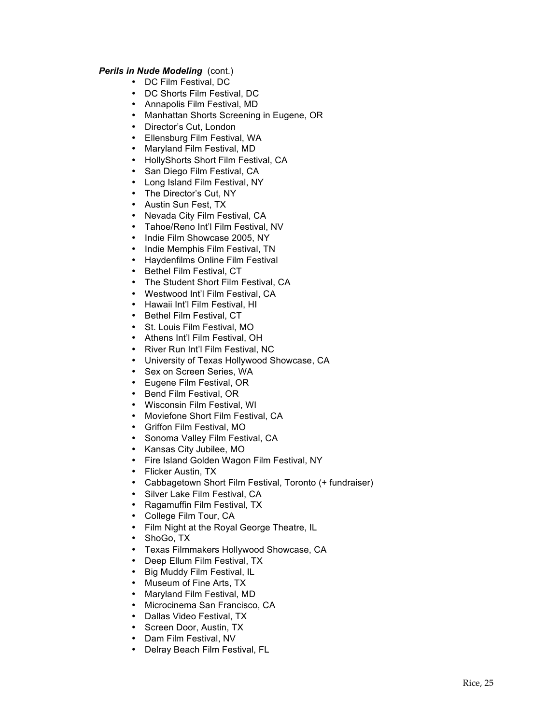# **Perils in Nude Modeling** (cont.)

- DC Film Festival, DC
- DC Shorts Film Festival, DC
- Annapolis Film Festival, MD
- Manhattan Shorts Screening in Eugene, OR
- Director's Cut, London
- Ellensburg Film Festival, WA
- Maryland Film Festival, MD
- HollyShorts Short Film Festival, CA
- San Diego Film Festival, CA<br>• Long Island Film Festival NY
- Long Island Film Festival, NY
- The Director's Cut, NY
- Austin Sun Fest, TX
- Nevada City Film Festival, CA
- Tahoe/Reno Int'l Film Festival, NV
- Indie Film Showcase 2005, NY
- Indie Memphis Film Festival, TN
- Haydenfilms Online Film Festival<br>• Rethel Film Festival CT
- Bethel Film Festival, CT
- The Student Short Film Festival, CA
- Westwood Int'l Film Festival, CA
- Hawaii Int'l Film Festival, HI
- Bethel Film Festival, CT
- St. Louis Film Festival, MO
- Athens Int'l Film Festival, OH
- River Run Int'l Film Festival, NC
- University of Texas Hollywood Showcase, CA
- Sex on Screen Series, WA
- Eugene Film Festival, OR
- Bend Film Festival, OR
- Wisconsin Film Festival, WI
- Moviefone Short Film Festival, CA
- Griffon Film Festival, MO
- Sonoma Valley Film Festival, CA
- Kansas City Jubilee, MO
- Fire Island Golden Wagon Film Festival, NY
- Flicker Austin, TX
- Cabbagetown Short Film Festival, Toronto (+ fundraiser)
- Silver Lake Film Festival, CA<br>• Ragamuffin Film Festival, TX
- Ragamuffin Film Festival, TX
- College Film Tour, CA<br>• Film Night at the Royal
- Film Night at the Royal George Theatre, IL
- ShoGo, TX
- Texas Filmmakers Hollywood Showcase, CA<br>• Deen Fllum Film Festival TX
- Deep Ellum Film Festival, TX
- Big Muddy Film Festival, IL
- Museum of Fine Arts, TX
- Maryland Film Festival, MD
- Microcinema San Francisco, CA
- Dallas Video Festival, TX
- Screen Door, Austin, TX
- Dam Film Festival, NV
- Delray Beach Film Festival, FL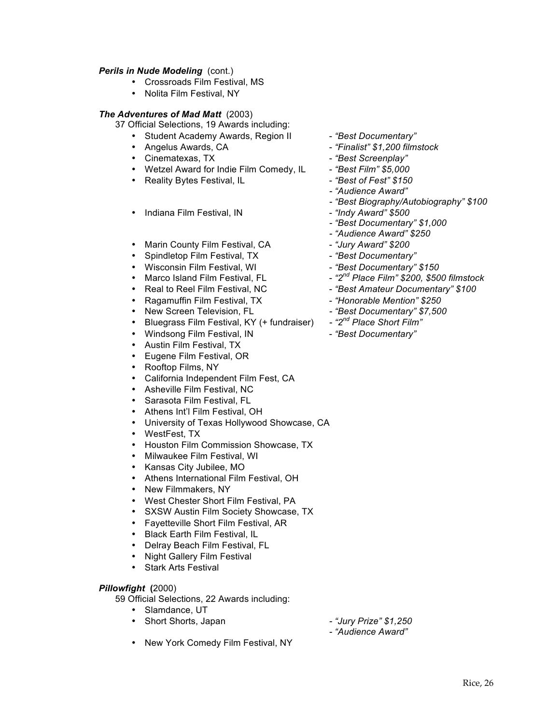# **Perils in Nude Modeling** (cont.)

- Crossroads Film Festival, MS
- Nolita Film Festival, NY

# *The Adventures of Mad Matt*(2003)

37 Official Selections, 19 Awards including:

- Student Academy Awards, Region II "Best Documentary"
- 
- Cinematexas, TX *"Best Screenplay"*
- Wetzel Award for Indie Film Comedy, IL "Best Film" \$5,000<br>• Reality Bytes Festival. IL <sup>"Best</sup> of Fest" \$150
- Reality Bytes Festival, IL *"Best of Fest" \$150*
- Indiana Film Festival, IN <sup>"</sup>Indy Award" \$500
- Marin County Film Festival, CA *"Jury Award"* \$200
- Spindletop Film Festival, TX<br>• Wisconsin Film Festival, WI *"Best Documentary"* \$150
- Wisconsin Film Festival, WI<br>• Marco Island Film Festival, FL
- 
- 
- Ragamuffin Film Festival, TX <sup>"</sup>Honorable Mention" \$250
- 
- New Screen Television, FL  *"Best Documentary" \$7,500*<br>• Bluegrass Film Festival, KY (+ fundraiser)  *"2<sup>nd</sup> Place Short Film"* **Bluegrass Film Festival, KY (+ fundraiser)**
- Windsong Film Festival, IN "Best Documentary"
- Austin Film Festival, TX
- Eugene Film Festival, OR
- Rooftop Films, NY
- California Independent Film Fest, CA
- Asheville Film Festival, NC
- Sarasota Film Festival, FL
- Athens Int'l Film Festival, OH
- University of Texas Hollywood Showcase, CA
- WestFest, TX
- Houston Film Commission Showcase, TX
- Milwaukee Film Festival, WI<br>• Kansas City Jubilee MO
- Kansas City Jubilee, MO
- Athens International Film Festival, OH
- New Filmmakers, NY
- West Chester Short Film Festival, PA<br>• SXSW Austin Film Society Showcase.
- SXSW Austin Film Society Showcase, TX
- Fayetteville Short Film Festival, AR
- Black Earth Film Festival, IL<br>• Delrav Beach Film Festival.
- Delray Beach Film Festival, FL
- Night Gallery Film Festival
- Stark Arts Festival

## *Pillowfight* **(**2000)

59 Official Selections, 22 Awards including:

- Slamdance, UT
- Short Shorts, Japan *- "Jury Prize" \$1,250*
- 
- Angelus Awards, CA *"Finalist" \$1,200 filmstock*
	-
	-
	-
	- *- "Audience Award"*
	- *- "Best Biography/Autobiography" \$100*
	-
	- *- "Best Documentary" \$1,000*
	- *- "Audience Award" \$250*
	-
	-
	-
	- Marco Island Film Festival, FL *"2nd Place Film" \$200, \$500 filmstock*
- Real to Reel Film Festival, NC "Best Amateur Documentary" \$100
	-
	-
	-
	-

- New York Comedy Film Festival, NY
- 
- *- "Audience Award"*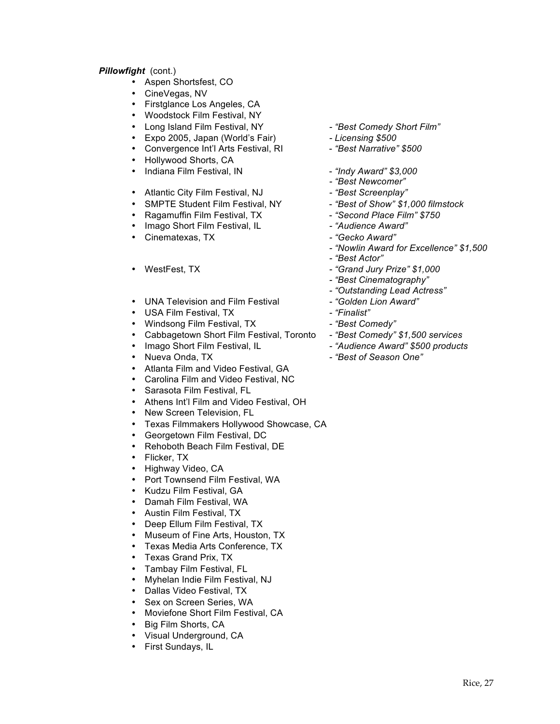# *Pillowfight* (cont.)

- Aspen Shortsfest, CO
- CineVegas, NV
- Firstglance Los Angeles, CA
- Woodstock Film Festival, NY
- Long Island Film Festival, NY *- "Best Comedy Short Film"*
- Expo 2005, Japan (World's Fair) *- Licensing \$500*
- Convergence Int'l Arts Festival, RI *"Best Narrative" \$500*
- Hollywood Shorts, CA
- Indiana Film Festival, IN <sup>"</sup>Indy Award" \$3,000
- Atlantic City Film Festival, NJ *- "Best Screenplay"*
- SMPTE Student Film Festival, NY *"Best of Show" \$1,000 filmstock*
- Ragamuffin Film Festival, TX *"Second Place Film" \$750*
- Imago Short Film Festival, IL
- Cinematexas, TX *- "Gecko Award"*
- 
- UNA Television and Film Festival *- -* "Golden Lion Award"<br>• USA Film Festival TX *- -* "Finalist"
- USA Film Festival, TX
- 
- Windsong Film Festival, TX *- "Best Comedy"* • Cabbagetown Short Film Festival, Toronto<br>• *Imago Short Film Festival, IL*
- Imago Short Film Festival, IL *Audience Award" \$500 products*<br>• Nueva Onda. TX  *"Best of Season One"*
- 
- Atlanta Film and Video Festival, GA
- Carolina Film and Video Festival, NC
- Sarasota Film Festival, FL
- Athens Int'l Film and Video Festival, OH
- New Screen Television, FL
- Texas Filmmakers Hollywood Showcase, CA
- Georgetown Film Festival, DC
- Rehoboth Beach Film Festival, DE
- Flicker, TX
- Highway Video, CA
- Port Townsend Film Festival, WA
- Kudzu Film Festival, GA
- Damah Film Festival, WA
- Austin Film Festival, TX
- Deep Ellum Film Festival, TX
- Museum of Fine Arts, Houston, TX
- Texas Media Arts Conference, TX
- Texas Grand Prix, TX
- Tambay Film Festival, FL<br>• Myhelan Indie Film Festiv
- Myhelan Indie Film Festival, NJ
- Dallas Video Festival, TX
- 
- Sex on Screen Series, WA<br>• Moviefone Short Film Festin • Moviefone Short Film Festival, CA
- Big Film Shorts, CA
- Visual Underground, CA
- First Sundays, IL
- 
- 
- 
- 
- *- "Best Newcomer"*
- 
- 
- 
- 
- 
- *- "Nowlin Award for Excellence" \$1,500*
- *- "Best Actor"*
- WestFest, TX *- "Grand Jury Prize" \$1,000*
	- *- "Best Cinematography"*
	- *- "Outstanding Lead Actress"*
	-
	-
	-
	-
	-
	- Nueva Onda, TX *- "Best of Season One"*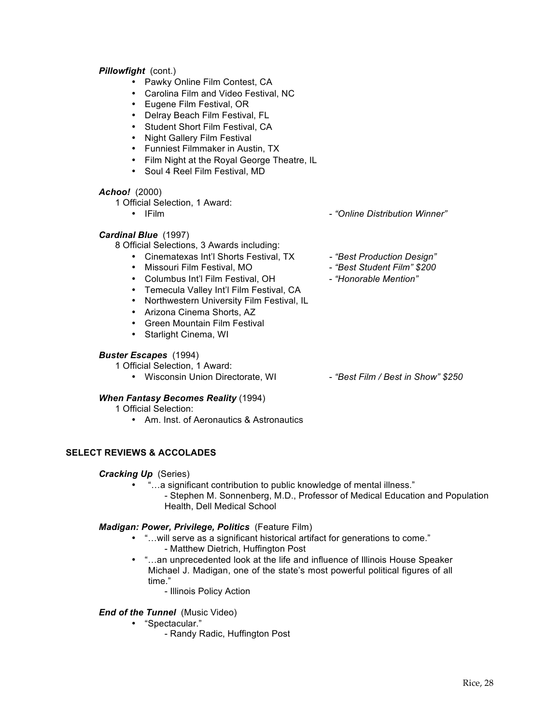# *Pillowfight* (cont.)

- Pawky Online Film Contest, CA
- Carolina Film and Video Festival, NC
- Eugene Film Festival, OR
- Delray Beach Film Festival, FL
- Student Short Film Festival, CA
- Night Gallery Film Festival
- Funniest Filmmaker in Austin, TX
- Film Night at the Royal George Theatre, IL
- Soul 4 Reel Film Festival, MD

## *Achoo!*(2000)

1 Official Selection, 1 Award:

• IFilm - *"Online Distribution Winner"*

*Cardinal Blue*(1997)

8 Official Selections, 3 Awards including:

- Cinematexas Int'l Shorts Festival, TX *- "Best Production Design"*
- 
- Missouri Film Festival, MO *"Best Student Film"* \$200<br>• Columbus Int'l Film Festival, OH *"Honorable Mention"* • Columbus Int'l Film Festival, OH - *"Honorable Mention"*
- Temecula Valley Int'l Film Festival, CA
- Northwestern University Film Festival, IL
- Arizona Cinema Shorts, AZ
- Green Mountain Film Festival
- Starlight Cinema, WI

#### *Buster Escapes*(1994)

1 Official Selection, 1 Award:

• Wisconsin Union Directorate, WI - "Best Film / Best in Show" \$250

## *When Fantasy Becomes Reality* (1994)

1 Official Selection:

• Am. Inst. of Aeronautics & Astronautics

# **SELECT REVIEWS & ACCOLADES**

## *Cracking Up* (Series)

• "...a significant contribution to public knowledge of mental illness." - Stephen M. Sonnenberg, M.D., Professor of Medical Education and Population Health, Dell Medical School

## *Madigan: Power, Privilege, Politics* (Feature Film)

- "…will serve as a significant historical artifact for generations to come."
	- Matthew Dietrich, Huffington Post
- "…an unprecedented look at the life and influence of Illinois House Speaker Michael J. Madigan, one of the state's most powerful political figures of all time."
	- Illinois Policy Action

## *End of the Tunnel* (Music Video)

- "Spectacular."
	- Randy Radic, Huffington Post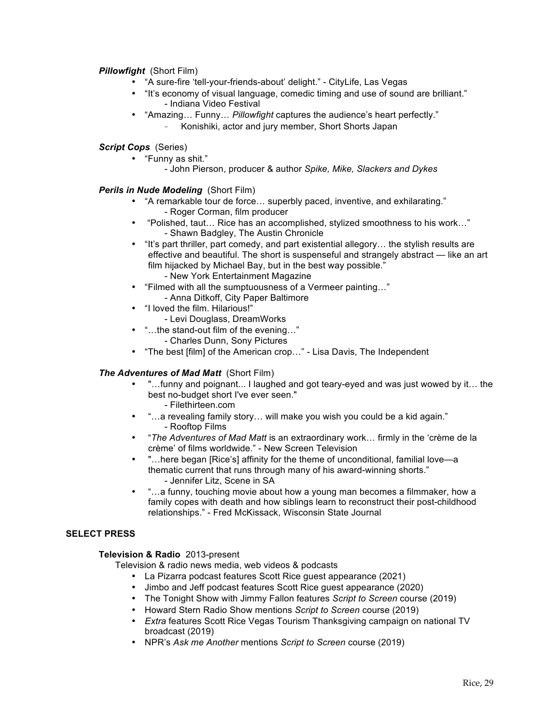# *Pillowfight* (Short Film)

- "A sure-fire 'tell-your-friends-about' delight." CityLife, Las Vegas
- "It's economy of visual language, comedic timing and use of sound are brilliant." - Indiana Video Festival
- "Amazing… Funny… *Pillowfight* captures the audience's heart perfectly."
	- Konishiki, actor and jury member, Short Shorts Japan

# *Script Cops* (Series)

- "Funny as shit."
	- John Pierson, producer & author *Spike, Mike, Slackers and Dykes*

# *Perils in Nude Modeling* (Short Film)

- "A remarkable tour de force… superbly paced, inventive, and exhilarating." - Roger Corman, film producer
- "Polished, taut… Rice has an accomplished, stylized smoothness to his work…" - Shawn Badgley, The Austin Chronicle
- "It's part thriller, part comedy, and part existential allegory… the stylish results are effective and beautiful. The short is suspenseful and strangely abstract — like an art film hijacked by Michael Bay, but in the best way possible." - New York Entertainment Magazine
- "Filmed with all the sumptuousness of a Vermeer painting…" - Anna Ditkoff, City Paper Baltimore
- "I loved the film. Hilarious!"
	- Levi Douglass, DreamWorks
- "…the stand-out film of the evening…"
	- Charles Dunn, Sony Pictures
- "The best [film] of the American crop…" Lisa Davis, The Independent

# *The Adventures of Mad Matt* (Short Film)

- "…funny and poignant... I laughed and got teary-eyed and was just wowed by it… the best no-budget short I've ever seen."
	- Filethirteen.com
- "…a revealing family story… will make you wish you could be a kid again." - Rooftop Films
- "*The Adventures of Mad Matt* is an extraordinary work… firmly in the 'crème de la crème' of films worldwide." - New Screen Television
- "…here began [Rice's] affinity for the theme of unconditional, familial love—a thematic current that runs through many of his award-winning shorts." - Jennifer Litz, Scene in SA
- "…a funny, touching movie about how a young man becomes a filmmaker, how a family copes with death and how siblings learn to reconstruct their post-childhood relationships." - Fred McKissack, Wisconsin State Journal

## **SELECT PRESS**

## **Television & Radio** 2013-present

Television & radio news media, web videos & podcasts

- La Pizarra podcast features Scott Rice guest appearance (2021)
- Jimbo and Jeff podcast features Scott Rice guest appearance (2020)
- The Tonight Show with Jimmy Fallon features *Script to Screen* course (2019)
- Howard Stern Radio Show mentions *Script to Screen* course (2019)
- *Extra* features Scott Rice Vegas Tourism Thanksgiving campaign on national TV broadcast (2019)
- NPR's *Ask me Another* mentions *Script to Screen* course (2019)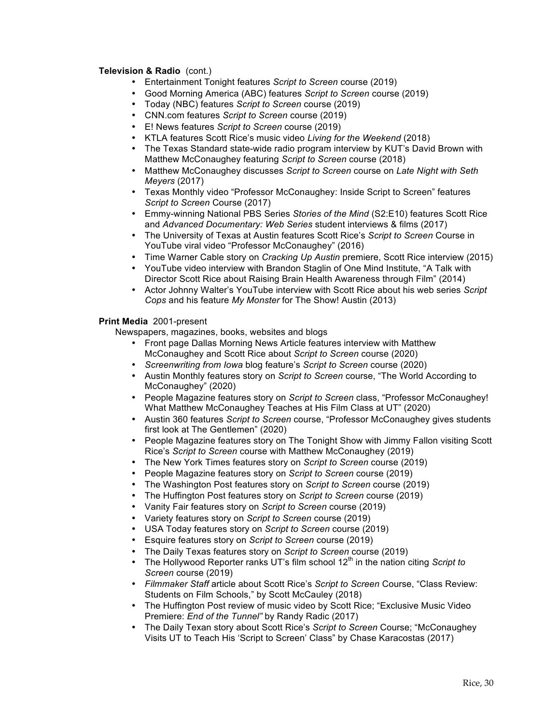# **Television & Radio** (cont.)

- Entertainment Tonight features *Script to Screen* course (2019)
- Good Morning America (ABC) features *Script to Screen* course (2019)
- Today (NBC) features *Script to Screen* course (2019)
- CNN.com features *Script to Screen* course (2019)
- E! News features *Script to Screen* course (2019)
- KTLA features Scott Rice's music video *Living for the Weekend* (2018)
- The Texas Standard state-wide radio program interview by KUT's David Brown with Matthew McConaughey featuring *Script to Screen* course (2018)
- Matthew McConaughey discusses *Script to Screen* course on *Late Night with Seth Meyers* (2017)
- Texas Monthly video "Professor McConaughey: Inside Script to Screen" features *Script to Screen* Course (2017)
- Emmy-winning National PBS Series *Stories of the Mind* (S2:E10) features Scott Rice and *Advanced Documentary: Web Series* student interviews & films (2017)
- The University of Texas at Austin features Scott Rice's *Script to Screen* Course in YouTube viral video "Professor McConaughey" (2016)
- Time Warner Cable story on *Cracking Up Austin* premiere, Scott Rice interview (2015)
- YouTube video interview with Brandon Staglin of One Mind Institute, "A Talk with Director Scott Rice about Raising Brain Health Awareness through Film" (2014)
- Actor Johnny Walter's YouTube interview with Scott Rice about his web series *Script Cops* and his feature *My Monster* for The Show! Austin (2013)

## **Print Media** 2001-present

Newspapers, magazines, books, websites and blogs

- Front page Dallas Morning News Article features interview with Matthew McConaughey and Scott Rice about *Script to Screen* course (2020)
- *Screenwriting from Iowa* blog feature's *Script to Screen* course (2020)
- Austin Monthly features story on *Script to Screen* course, "The World According to McConaughey" (2020)
- People Magazine features story on *Script to Screen* class, "Professor McConaughey! What Matthew McConaughey Teaches at His Film Class at UT" (2020)
- Austin 360 features *Script to Screen* course, "Professor McConaughey gives students first look at The Gentlemen" (2020)
- People Magazine features story on The Tonight Show with Jimmy Fallon visiting Scott Rice's *Script to Screen* course with Matthew McConaughey (2019)
- The New York Times features story on *Script to Screen* course (2019)
- People Magazine features story on *Script to Screen* course (2019)
- The Washington Post features story on *Script to Screen* course (2019)
- The Huffington Post features story on *Script to Screen* course (2019)
- Vanity Fair features story on *Script to Screen* course (2019)
- Variety features story on *Script to Screen* course (2019)
- USA Today features story on *Script to Screen* course (2019)
- Esquire features story on *Script to Screen* course (2019)
- The Daily Texas features story on *Script to Screen* course (2019)
- The Hollywood Reporter ranks UT's film school 12<sup>th</sup> in the nation citing *Script to Screen* course (2019)
- *Filmmaker Staff* article about Scott Rice's *Script to Screen* Course, "Class Review: Students on Film Schools," by Scott McCauley (2018)
- The Huffington Post review of music video by Scott Rice; "Exclusive Music Video Premiere: *End of the Tunnel"* by Randy Radic (2017)
- The Daily Texan story about Scott Rice's *Script to Screen* Course; "McConaughey Visits UT to Teach His 'Script to Screen' Class" by Chase Karacostas (2017)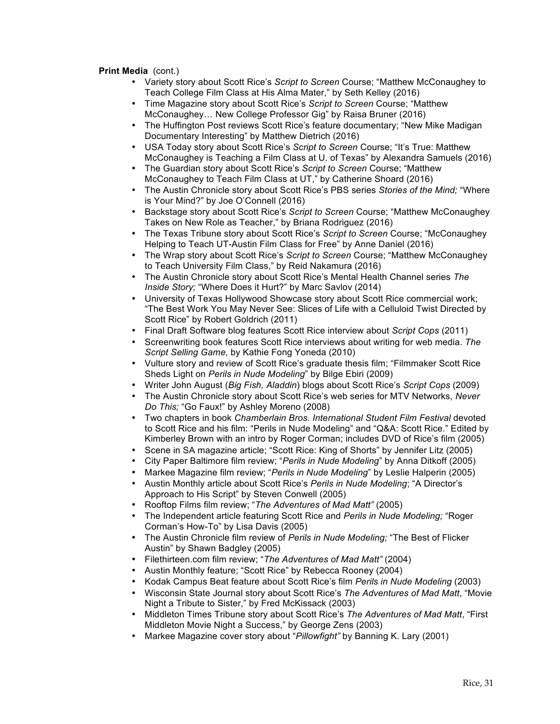# **Print Media** (cont.)

- Variety story about Scott Rice's *Script to Screen* Course; "Matthew McConaughey to Teach College Film Class at His Alma Mater," by Seth Kelley (2016)
- Time Magazine story about Scott Rice's *Script to Screen* Course; "Matthew McConaughey… New College Professor Gig" by Raisa Bruner (2016)
- The Huffington Post reviews Scott Rice's feature documentary; "New Mike Madigan Documentary Interesting" by Matthew Dietrich (2016)
- USA Today story about Scott Rice's *Script to Screen* Course; "It's True: Matthew McConaughey is Teaching a Film Class at U. of Texas" by Alexandra Samuels (2016)
- The Guardian story about Scott Rice's *Script to Screen* Course; "Matthew McConaughey to Teach Film Class at UT," by Catherine Shoard (2016)
- The Austin Chronicle story about Scott Rice's PBS series *Stories of the Mind;* "Where is Your Mind?" by Joe O'Connell (2016)
- Backstage story about Scott Rice's *Script to Screen* Course; "Matthew McConaughey Takes on New Role as Teacher," by Briana Rodriguez (2016)
- The Texas Tribune story about Scott Rice's *Script to Screen* Course; "McConaughey Helping to Teach UT-Austin Film Class for Free" by Anne Daniel (2016)
- The Wrap story about Scott Rice's *Script to Screen* Course; "Matthew McConaughey to Teach University Film Class," by Reid Nakamura (2016)
- The Austin Chronicle story about Scott Rice's Mental Health Channel series *The Inside Story;* "Where Does it Hurt?" by Marc Savlov (2014)
- University of Texas Hollywood Showcase story about Scott Rice commercial work; "The Best Work You May Never See: Slices of Life with a Celluloid Twist Directed by Scott Rice" by Robert Goldrich (2011)
- Final Draft Software blog features Scott Rice interview about *Script Cops* (2011)
- Screenwriting book features Scott Rice interviews about writing for web media. *The Script Selling Game,* by Kathie Fong Yoneda (2010)
- Vulture story and review of Scott Rice's graduate thesis film; "Filmmaker Scott Rice Sheds Light on *Perils in Nude Modeling*" by Bilge Ebiri (2009)
- Writer John August (*Big Fish, Aladdin*) blogs about Scott Rice's *Script Cops* (2009)
- The Austin Chronicle story about Scott Rice's web series for MTV Networks, *Never Do This;* "Go Faux!" by Ashley Moreno (2008)
- Two chapters in book *Chamberlain Bros. International Student Film Festival* devoted to Scott Rice and his film: "Perils in Nude Modeling" and "Q&A: Scott Rice." Edited by Kimberley Brown with an intro by Roger Corman; includes DVD of Rice's film (2005)
- Scene in SA magazine article; "Scott Rice: King of Shorts" by Jennifer Litz (2005)
- City Paper Baltimore film review; "*Perils in Nude Modeling*" by Anna Ditkoff (2005)
- Markee Magazine film review; "*Perils in Nude Modeling*" by Leslie Halperin (2005)
- Austin Monthly article about Scott Rice's *Perils in Nude Modeling*; "A Director's Approach to His Script" by Steven Conwell (2005)
- Rooftop Films film review; "*The Adventures of Mad Matt"* (2005)
- The Independent article featuring Scott Rice and *Perils in Nude Modeling;* "Roger Corman's How-To" by Lisa Davis (2005)
- The Austin Chronicle film review of *Perils in Nude Modeling;* "The Best of Flicker Austin" by Shawn Badgley (2005)
- Filethirteen.com film review; "*The Adventures of Mad Matt"* (2004)
- Austin Monthly feature; "Scott Rice" by Rebecca Rooney (2004)
	- Kodak Campus Beat feature about Scott Rice's film *Perils in Nude Modeling* (2003)
- Wisconsin State Journal story about Scott Rice's *The Adventures of Mad Matt*, "Movie Night a Tribute to Sister," by Fred McKissack (2003)
- Middleton Times Tribune story about Scott Rice's *The Adventures of Mad Matt*, "First Middleton Movie Night a Success," by George Zens (2003)
- Markee Magazine cover story about "*Pillowfight"* by Banning K. Lary (2001)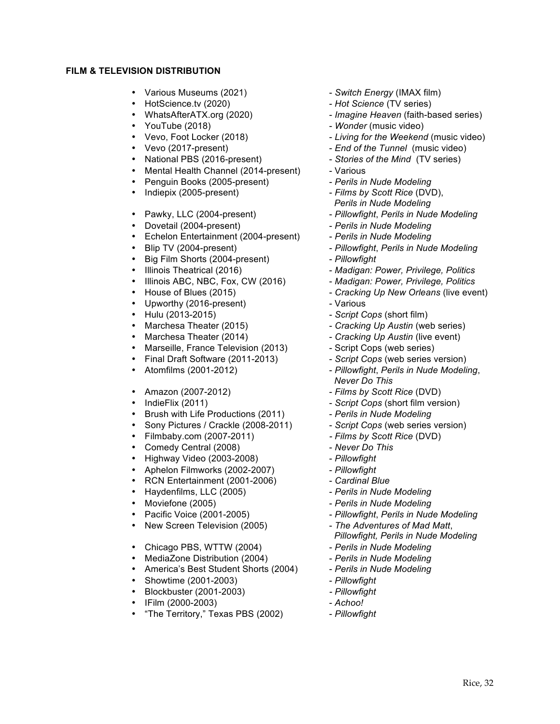# **FILM & TELEVISION DISTRIBUTION**

- Various Museums (2021) *Switch Energy* (IMAX film)
- 
- HotScience.tv (2020) *Hot Science* (TV series)
- 
- 
- 
- 
- Mental Health Channel (2014-present)
- Penguin Books (2005-present) *Perils in Nude Modeling*
- 
- 
- 
- Dovetail (2004-present) *Perils in Nude Modeling*  • Echelon Entertainment (2004-present) - *Perils in Nude Modeling*
- 
- Big Film Shorts (2004-present) *Pillowfight*
- 
- Illinois ABC, NBC, Fox, CW (2016) *Madigan: Power, Privilege, Politics*
- 
- Upworthy (2016-present) Various
- 
- 
- 
- Marseille, France Television (2013) Script Cops (web series)<br>Final Draft Software (2011-2013) Script Cops (web series version)
- Final Draft Software (2011-2013)
- 
- 
- 
- 
- Brush with Life Productions (2011) *Perils in Nude Modeling*
- Sony Pictures / Crackle (2008-2011) *Script Cops* (web series version)
- Filmbaby.com (2007-2011) *- Films by Scott Rice* (DVD)
- Comedy Central (2008)
- Highway Video (2003-2008) *Pillowfight*
- Aphelon Filmworks (2002-2007) *Pillowfight*
- RCN Entertainment (2001-2006) *Cardinal Blue*
- Haydenfilms, LLC (2005) *Perils in Nude Modeling*
- 
- 
- 
- Chicago PBS, WTTW (2004) *Perils in Nude Modeling*
- MediaZone Distribution (2004)  **Perils in Nude Modeling**
- America's Best Student Shorts (2004) *Perils in Nude Modeling*
- Showtime (2001-2003) *Pillowfight*
- Blockbuster (2001-2003) *- Pillowfight*
- IFilm (2000-2003) *Achoo!*
- "The Territory," Texas PBS (2002) Pillowfight
- 
- 
- WhatsAfterATX.org (2020) *Imagine Heaven* (faith-based series)
	- *Wonder* (music video)
- Vevo, Foot Locker (2018) *Living for the Weekend* (music video)
- Vevo (2017-present) **End of the Tunnel** (music video) **National PBS** (2016-present) *Stories of the Mind* (TV series)
	- National PBS (2016-present) *Stories of the Mind* (TV series)<br>Mental Health Channel (2014-present) Various
		-
		-
	- Indiepix (2005-present) *Films by Scott Rice* (DVD),
		- *Perils in Nude Modeling*
- Pawky, LLC (2004-present) *Pillowfight, Perils in Nude Modeling*<br>• Dovetail (2004-present) *Perils in Nude Modeling* 
	-
	-
- Blip TV (2004-present) *Pillowfight*, *Perils in Nude Modeling* *Pillowfight*, *Perils in Nude Modeling* 
	-
	-
- Illinois Theatrical (2016) *Madigan: Power, Privilege, Politics*<br>• Illinois ABC, NBC, Fox, CW (2016) *Madigan: Power, Privilege, Politics* 
	- House of Blues (2015) *Cracking Up New Orleans* (live event)
		-
	- Hulu (2013-2015) *Script Cops* (short film)
- Marchesa Theater (2015) *Cracking Up Austin* (web series)
- Marchesa Theater (2014) Cracking Up Austin (live event)
	-
	-
- Atomfilms (2001-2012) *Pillowfight*, *Perils in Nude Modeling*, *Never Do This* 
	- Amazon (2007-2012) *Films by Scott Rice* (DVD)
- IndieFlix (2011) *Script Cops* (short film version)
	-
	-
	-
	-
	-
	-
	-
	-
- Moviefone (2005) *Perils in Nude Modeling* 
	-
- Pacific Voice (2001-2005) *Pillowfight, Perils in Nude Modeling*<br>• New Screen Television (2005) *The Adventures of Mad Matt.* • New Screen Television (2005) - *The Adventures of Mad Matt*, *Pillowfight, Perils in Nude Modeling*
	-
	-
	-
	-
	-
	-
	-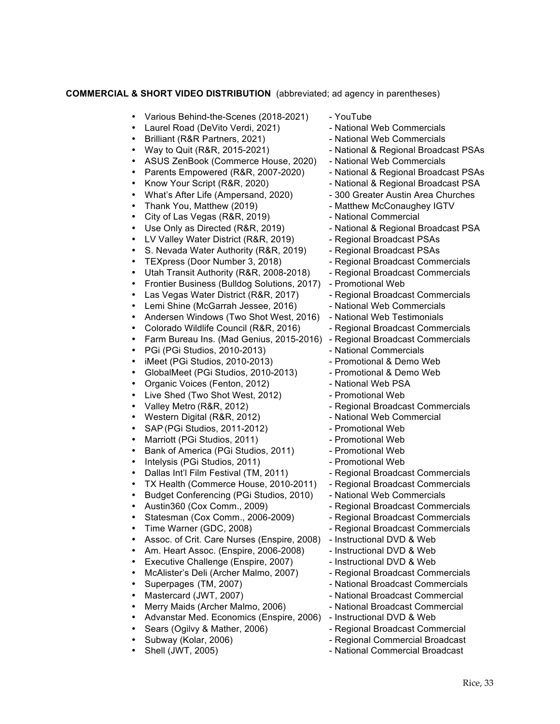# **COMMERCIAL & SHORT VIDEO DISTRIBUTION** (abbreviated; ad agency in parentheses)

- Various Behind-the-Scenes (2018-2021) YouTube
- Laurel Road (DeVito Verdi, 2021) National Web Commercials<br>• Brilliant (R&R Partners, 2021) National Web Commercials
- 
- Brilliant (R&R Partners, 2021)<br>• Way to Quit (R&R, 2015-2021)
- ASUS ZenBook (Commerce House, 2020) National Web Commercials
- Parents Empowered (R&R, 2007-2020) National & Regional Broadcast PSAs
- Know Your Script (R&R, 2020) National & Regional Broadcast PSA
- What's After Life (Ampersand, 2020) 300 Greater Austin Area Churches
- 
- City of Las Vegas (R&R, 2019) National Commercial
- Use Only as Directed (R&R, 2019) National & Regional Broadcast PSA
- LV Valley Water District (R&R, 2019) Regional Broadcast PSAs
- S. Nevada Water Authority (R&R, 2019) Regional Broadcast PSAs
- 
- Utah Transit Authority (R&R, 2008-2018) Regional Broadcast Commercials
- Frontier Business (Bulldog Solutions, 2017) Promotional Web
- Las Vegas Water District (R&R, 2017) Regional Broadcast Commercials
- Lemi Shine (McGarrah Jessee, 2016) National Web Commercials
- Andersen Windows (Two Shot West, 2016) National Web Testimonials
- Colorado Wildlife Council (R&R, 2016) Regional Broadcast Commercials
- Farm Bureau Ins. (Mad Genius, 2015-2016) Regional Broadcast Commercials
- PGi (PGi Studios, 2010-2013) National Commercials
- iMeet (PGi Studios, 2010-2013) Promotional & Demo Web
- GlobalMeet (PGi Studios, 2010-2013)
- Organic Voices (Fenton, 2012) National Web PSA
- Live Shed (Two Shot West, 2012) Promotional Web
- 
- Western Digital (R&R, 2012) National Web Commercial
- SAP (PGi Studios, 2011-2012)
- 
- Marriott (PGi Studios, 2011) Promotional Web<br>• Rank of America (PGi Studios, 2011) Promotional Web Bank of America (PGi Studios, 2011) - Promotional Web
- 
- Intelysis (PGi Studios, 2011)<br>
Dallas Int'l Film Festival (TM, 2011) Regional Broadcast Commercials • Dallas Int'l Film Festival (TM, 2011)<br>• TX Health (Commerce House, 2010
- TX Health (Commerce House, 2010-2011) Regional Broadcast Commercials
- Budget Conferencing (PGi Studios, 2010) National Web Commercials
- 
- Statesman (Cox Comm., 2006-2009) Regional Broadcast Commercials
- 
- Assoc. of Crit. Care Nurses (Enspire, 2008) Instructional DVD & Web
- Am. Heart Assoc. (Enspire, 2006-2008) Instructional DVD & Web
- Executive Challenge (Enspire, 2007) Instructional DVD & Web<br>• McAlister's Deli (Archer Malmo, 2007) Regional Broadcast Commercials
- McAlister's Deli (Archer Malmo, 2007)
- 
- Mastercard (JWT, 2007) National Broadcast Commercial
- 
- Merry Maids (Archer Malmo, 2006) National Broadcast Commercial<br>Advanstar Med. Economics (Enspire, 2006) Instructional DVD & Web Advanstar Med. Economics (Enspire, 2006)<br>Sears (Ogilvy & Mather, 2006)
- 
- 
- 
- 
- 
- 
- National & Regional Broadcast PSAs
- 
- 
- 
- 
- Thank You, Matthew (2019) Matthew McConaughey IGTV
	-
	-
	-
	-
- TEXpress (Door Number 3, 2018) Regional Broadcast Commercials
	-
	-
	-
	-
	-
	-
	-
	-
	-
	-
	-
	-
- Valley Metro (R&R, 2012)<br>
Western Digital (R&R, 2012) National Web Commercial<br>
 National Web Commercial
	-
	-
	-
	-
	-
	-
	-
	-
- Austin360 (Cox Comm., 2009) Regional Broadcast Commercials
	-
- Time Warner (GDC, 2008)  **Regional Broadcast Commercials** 
	-
	-
	-
	-
	- Superpages (TM, 2007) **Actional Broadcast Commercials** National Broadcast Commercials
		-
		-
		-
		- Regional Broadcast Commercial
	- Subway (Kolar, 2006) Regional Commercial Broadcast
		- National Commercial Broadcast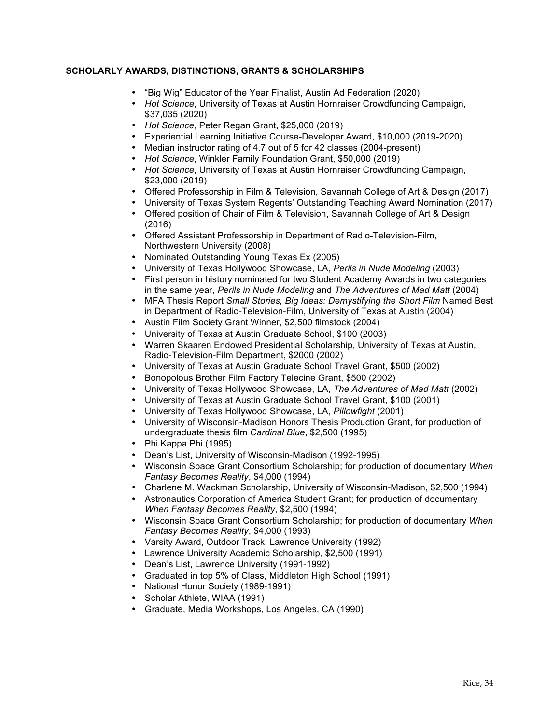# **SCHOLARLY AWARDS, DISTINCTIONS, GRANTS & SCHOLARSHIPS**

- "Big Wig" Educator of the Year Finalist, Austin Ad Federation (2020)
- *Hot Science*, University of Texas at Austin Hornraiser Crowdfunding Campaign, \$37,035 (2020)
- *Hot Science*, Peter Regan Grant, \$25,000 (2019)
- Experiential Learning Initiative Course-Developer Award, \$10,000 (2019-2020)
- Median instructor rating of 4.7 out of 5 for 42 classes (2004-present)
- *Hot Science*, Winkler Family Foundation Grant, \$50,000 (2019)
- *Hot Science*, University of Texas at Austin Hornraiser Crowdfunding Campaign, \$23,000 (2019)
- Offered Professorship in Film & Television, Savannah College of Art & Design (2017)
- University of Texas System Regents' Outstanding Teaching Award Nomination (2017)
- Offered position of Chair of Film & Television, Savannah College of Art & Design (2016)
- Offered Assistant Professorship in Department of Radio-Television-Film, Northwestern University (2008)
- Nominated Outstanding Young Texas Ex (2005)
- University of Texas Hollywood Showcase, LA, *Perils in Nude Modeling* (2003)
- First person in history nominated for two Student Academy Awards in two categories in the same year, *Perils in Nude Modeling* and *The Adventures of Mad Matt* (2004)
- MFA Thesis Report *Small Stories, Big Ideas: Demystifying the Short Film* Named Best in Department of Radio-Television-Film, University of Texas at Austin (2004)
- Austin Film Society Grant Winner, \$2,500 filmstock (2004)
- University of Texas at Austin Graduate School, \$100 (2003)
- Warren Skaaren Endowed Presidential Scholarship, University of Texas at Austin, Radio-Television-Film Department, \$2000 (2002)
- University of Texas at Austin Graduate School Travel Grant, \$500 (2002)<br>• Bonopolous Brother Film Factory Telecine Grant, \$500 (2002)
- Bonopolous Brother Film Factory Telecine Grant, \$500 (2002)
- University of Texas Hollywood Showcase, LA, *The Adventures of Mad Matt* (2002)
- University of Texas at Austin Graduate School Travel Grant, \$100 (2001)
- University of Texas Hollywood Showcase, LA, *Pillowfight* (2001)
- University of Wisconsin-Madison Honors Thesis Production Grant, for production of undergraduate thesis film *Cardinal Blue*, \$2,500 (1995)
- Phi Kappa Phi (1995)
- Dean's List, University of Wisconsin-Madison (1992-1995)
- Wisconsin Space Grant Consortium Scholarship; for production of documentary *When Fantasy Becomes Reality*, \$4,000 (1994)
- Charlene M. Wackman Scholarship, University of Wisconsin-Madison, \$2,500 (1994)
- Astronautics Corporation of America Student Grant; for production of documentary *When Fantasy Becomes Reality*, \$2,500 (1994)
- Wisconsin Space Grant Consortium Scholarship; for production of documentary *When Fantasy Becomes Reality*, \$4,000 (1993)
- Varsity Award, Outdoor Track, Lawrence University (1992)
- Lawrence University Academic Scholarship, \$2,500 (1991)<br>• Dean's List. Lawrence University (1991-1992)
- Dean's List, Lawrence University (1991-1992)
- Graduated in top 5% of Class, Middleton High School (1991)
- National Honor Society (1989-1991)
- Scholar Athlete, WIAA (1991)
- Graduate, Media Workshops, Los Angeles, CA (1990)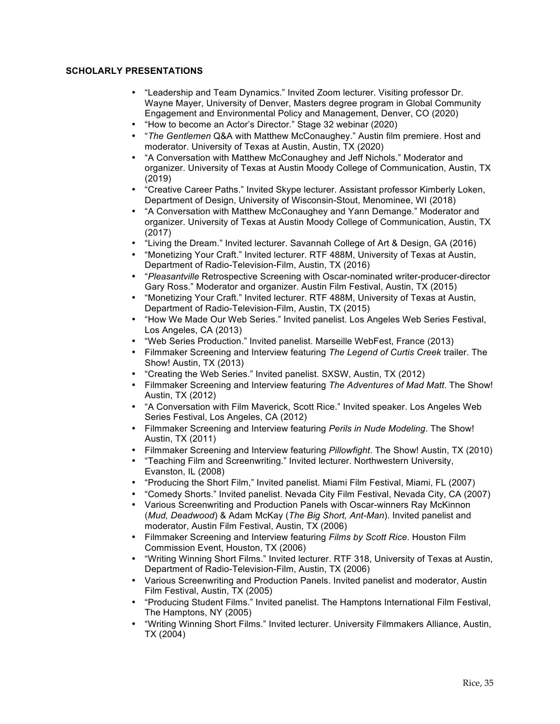# **SCHOLARLY PRESENTATIONS**

- "Leadership and Team Dynamics." Invited Zoom lecturer. Visiting professor Dr. Wayne Mayer, University of Denver, Masters degree program in Global Community Engagement and Environmental Policy and Management, Denver, CO (2020)
- "How to become an Actor's Director." Stage 32 webinar (2020)
- "*The Gentlemen* Q&A with Matthew McConaughey." Austin film premiere. Host and moderator. University of Texas at Austin, Austin, TX (2020)
- "A Conversation with Matthew McConaughey and Jeff Nichols." Moderator and organizer. University of Texas at Austin Moody College of Communication, Austin, TX (2019)
- "Creative Career Paths." Invited Skype lecturer. Assistant professor Kimberly Loken, Department of Design, University of Wisconsin-Stout, Menominee, WI (2018)
- "A Conversation with Matthew McConaughey and Yann Demange." Moderator and organizer. University of Texas at Austin Moody College of Communication, Austin, TX (2017)
- "Living the Dream." Invited lecturer. Savannah College of Art & Design, GA (2016)
- "Monetizing Your Craft." Invited lecturer. RTF 488M, University of Texas at Austin, Department of Radio-Television-Film, Austin, TX (2016)
- "*Pleasantville* Retrospective Screening with Oscar-nominated writer-producer-director Gary Ross." Moderator and organizer. Austin Film Festival, Austin, TX (2015)
- "Monetizing Your Craft." Invited lecturer. RTF 488M, University of Texas at Austin, Department of Radio-Television-Film, Austin, TX (2015)
- "How We Made Our Web Series." Invited panelist. Los Angeles Web Series Festival, Los Angeles, CA (2013)
- "Web Series Production." Invited panelist. Marseille WebFest, France (2013)<br>• Filmmaker Screening and Interview featuring The Legend of Curtis Creek trai
- Filmmaker Screening and Interview featuring *The Legend of Curtis Creek* trailer. The Show! Austin, TX (2013)
- "Creating the Web Series." Invited panelist. SXSW, Austin, TX (2012)
- Filmmaker Screening and Interview featuring *The Adventures of Mad Matt*. The Show! Austin, TX (2012)
- "A Conversation with Film Maverick, Scott Rice." Invited speaker. Los Angeles Web Series Festival, Los Angeles, CA (2012)
- Filmmaker Screening and Interview featuring *Perils in Nude Modeling*. The Show! Austin, TX (2011)
- Filmmaker Screening and Interview featuring *Pillowfight*. The Show! Austin, TX (2010)
- "Teaching Film and Screenwriting." Invited lecturer. Northwestern University, Evanston, IL (2008)
- "Producing the Short Film," Invited panelist. Miami Film Festival, Miami, FL (2007)
- "Comedy Shorts." Invited panelist. Nevada City Film Festival, Nevada City, CA (2007)
- Various Screenwriting and Production Panels with Oscar-winners Ray McKinnon (*Mud, Deadwood*) & Adam McKay (*The Big Short, Ant-Man*). Invited panelist and moderator, Austin Film Festival, Austin, TX (2006)
- Filmmaker Screening and Interview featuring *Films by Scott Rice*. Houston Film Commission Event, Houston, TX (2006)
- "Writing Winning Short Films." Invited lecturer. RTF 318, University of Texas at Austin, Department of Radio-Television-Film, Austin, TX (2006)
- Various Screenwriting and Production Panels. Invited panelist and moderator, Austin Film Festival, Austin, TX (2005)
- "Producing Student Films." Invited panelist. The Hamptons International Film Festival, The Hamptons, NY (2005)
- "Writing Winning Short Films." Invited lecturer. University Filmmakers Alliance, Austin, TX (2004)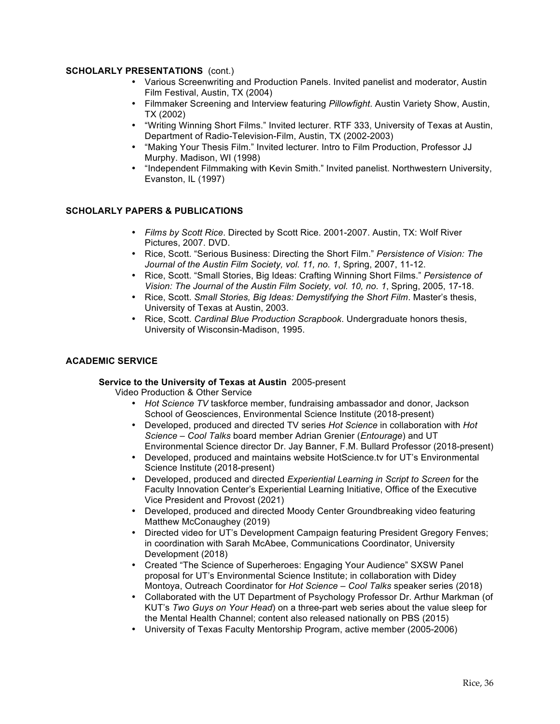## **SCHOLARLY PRESENTATIONS** (cont.)

- Various Screenwriting and Production Panels. Invited panelist and moderator, Austin Film Festival, Austin, TX (2004)
- Filmmaker Screening and Interview featuring *Pillowfight*. Austin Variety Show, Austin, TX (2002)
- "Writing Winning Short Films." Invited lecturer. RTF 333, University of Texas at Austin, Department of Radio-Television-Film, Austin, TX (2002-2003)
- "Making Your Thesis Film." Invited lecturer. Intro to Film Production, Professor JJ Murphy. Madison, WI (1998)
- "Independent Filmmaking with Kevin Smith." Invited panelist. Northwestern University, Evanston, IL (1997)

# **SCHOLARLY PAPERS & PUBLICATIONS**

- *Films by Scott Rice*. Directed by Scott Rice. 2001-2007. Austin, TX: Wolf River Pictures, 2007. DVD.
- Rice, Scott. "Serious Business: Directing the Short Film." *Persistence of Vision: The Journal of the Austin Film Society, vol. 11, no. 1*, Spring, 2007, 11-12.
- Rice, Scott. "Small Stories, Big Ideas: Crafting Winning Short Films." *Persistence of Vision: The Journal of the Austin Film Society, vol. 10, no. 1*, Spring, 2005, 17-18.
- Rice, Scott. *Small Stories, Big Ideas: Demystifying the Short Film*. Master's thesis, University of Texas at Austin, 2003.
- Rice, Scott. *Cardinal Blue Production Scrapbook*. Undergraduate honors thesis, University of Wisconsin-Madison, 1995.

## **ACADEMIC SERVICE**

## **Service to the University of Texas at Austin** 2005-present

Video Production & Other Service

- *Hot Science TV* taskforce member, fundraising ambassador and donor, Jackson School of Geosciences, Environmental Science Institute (2018-present)
- Developed, produced and directed TV series *Hot Science* in collaboration with *Hot Science – Cool Talks* board member Adrian Grenier (*Entourage*) and UT Environmental Science director Dr. Jay Banner, F.M. Bullard Professor (2018-present)
- Developed, produced and maintains website HotScience.tv for UT's Environmental Science Institute (2018-present)
- Developed, produced and directed *Experiential Learning in Script to Screen* for the Faculty Innovation Center's Experiential Learning Initiative, Office of the Executive Vice President and Provost (2021)
- Developed, produced and directed Moody Center Groundbreaking video featuring Matthew McConaughey (2019)
- Directed video for UT's Development Campaign featuring President Gregory Fenves; in coordination with Sarah McAbee, Communications Coordinator, University Development (2018)
- Created "The Science of Superheroes: Engaging Your Audience" SXSW Panel proposal for UT's Environmental Science Institute; in collaboration with Didey Montoya, Outreach Coordinator for *Hot Science – Cool Talks* speaker series (2018)
- Collaborated with the UT Department of Psychology Professor Dr. Arthur Markman (of KUT's *Two Guys on Your Head*) on a three-part web series about the value sleep for the Mental Health Channel; content also released nationally on PBS (2015)
- University of Texas Faculty Mentorship Program, active member (2005-2006)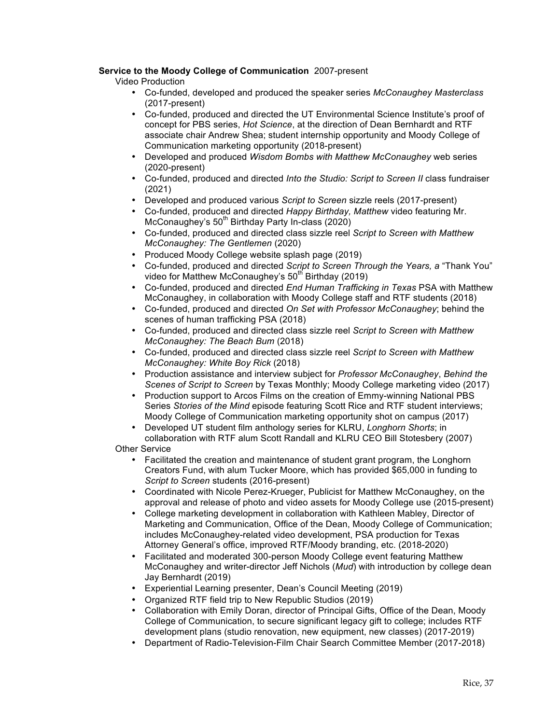# **Service to the Moody College of Communication** 2007-present

Video Production

- Co-funded, developed and produced the speaker series *McConaughey Masterclass* (2017-present)
- Co-funded, produced and directed the UT Environmental Science Institute's proof of concept for PBS series, *Hot Science*, at the direction of Dean Bernhardt and RTF associate chair Andrew Shea; student internship opportunity and Moody College of Communication marketing opportunity (2018-present)
- Developed and produced *Wisdom Bombs with Matthew McConaughey* web series (2020-present)
- Co-funded, produced and directed *Into the Studio: Script to Screen II* class fundraiser (2021)
- Developed and produced various *Script to Screen* sizzle reels (2017-present)
- Co-funded, produced and directed *Happy Birthday, Matthew* video featuring Mr. McConaughey's  $50<sup>th</sup>$  Birthday Party In-class (2020)
- Co-funded, produced and directed class sizzle reel *Script to Screen with Matthew McConaughey: The Gentlemen* (2020)
- Produced Moody College website splash page (2019)
- Co-funded, produced and directed *Script to Screen Through the Years, a* "Thank You" video for Matthew McConaughey's  $50<sup>th</sup>$  Birthday (2019)
- Co-funded, produced and directed *End Human Trafficking in Texas* PSA with Matthew McConaughey, in collaboration with Moody College staff and RTF students (2018)
- Co-funded, produced and directed *On Set with Professor McConaughey*; behind the scenes of human trafficking PSA (2018)
- Co-funded, produced and directed class sizzle reel *Script to Screen with Matthew McConaughey: The Beach Bum* (2018)
- Co-funded, produced and directed class sizzle reel *Script to Screen with Matthew McConaughey: White Boy Rick* (2018)
- Production assistance and interview subject for *Professor McConaughey*, *Behind the Scenes of Script to Screen* by Texas Monthly; Moody College marketing video (2017)
- Production support to Arcos Films on the creation of Emmy-winning National PBS Series *Stories of the Mind* episode featuring Scott Rice and RTF student interviews; Moody College of Communication marketing opportunity shot on campus (2017)
- Developed UT student film anthology series for KLRU, *Longhorn Shorts*; in

collaboration with RTF alum Scott Randall and KLRU CEO Bill Stotesbery (2007) Other Service

- Facilitated the creation and maintenance of student grant program, the Longhorn Creators Fund, with alum Tucker Moore, which has provided \$65,000 in funding to *Script to Screen* students (2016-present)
- Coordinated with Nicole Perez-Krueger, Publicist for Matthew McConaughey, on the approval and release of photo and video assets for Moody College use (2015-present)
- College marketing development in collaboration with Kathleen Mabley, Director of Marketing and Communication, Office of the Dean, Moody College of Communication; includes McConaughey-related video development, PSA production for Texas Attorney General's office, improved RTF/Moody branding, etc. (2018-2020)
- Facilitated and moderated 300-person Moody College event featuring Matthew McConaughey and writer-director Jeff Nichols (*Mud*) with introduction by college dean Jay Bernhardt (2019)
- Experiential Learning presenter, Dean's Council Meeting (2019)
- Organized RTF field trip to New Republic Studios (2019)
- Collaboration with Emily Doran, director of Principal Gifts, Office of the Dean, Moody College of Communication, to secure significant legacy gift to college; includes RTF development plans (studio renovation, new equipment, new classes) (2017-2019)
- Department of Radio-Television-Film Chair Search Committee Member (2017-2018)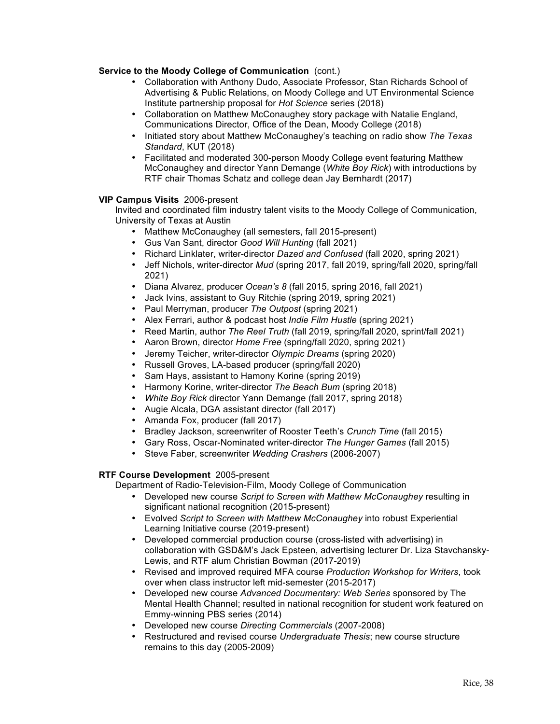## **Service to the Moody College of Communication** (cont.)

- Collaboration with Anthony Dudo, Associate Professor, Stan Richards School of Advertising & Public Relations, on Moody College and UT Environmental Science Institute partnership proposal for *Hot Science* series (2018)
- Collaboration on Matthew McConaughey story package with Natalie England, Communications Director, Office of the Dean, Moody College (2018)
- Initiated story about Matthew McConaughey's teaching on radio show *The Texas Standard*, KUT (2018)
- Facilitated and moderated 300-person Moody College event featuring Matthew McConaughey and director Yann Demange (*White Boy Rick*) with introductions by RTF chair Thomas Schatz and college dean Jay Bernhardt (2017)

# **VIP Campus Visits** 2006-present

Invited and coordinated film industry talent visits to the Moody College of Communication, University of Texas at Austin

- Matthew McConaughey (all semesters, fall 2015-present)
- Gus Van Sant, director *Good Will Hunting* (fall 2021)
- Richard Linklater, writer-director *Dazed and Confused* (fall 2020, spring 2021)
- Jeff Nichols, writer-director *Mud* (spring 2017, fall 2019, spring/fall 2020, spring/fall 2021)
- Diana Alvarez, producer *Ocean's 8* (fall 2015, spring 2016, fall 2021)
- Jack Ivins, assistant to Guy Ritchie (spring 2019, spring 2021)
- Paul Merryman, producer *The Outpost* (spring 2021)
- Alex Ferrari, author & podcast host *Indie Film Hustle* (spring 2021)
- Reed Martin, author *The Reel Truth* (fall 2019, spring/fall 2020, sprint/fall 2021)
- Aaron Brown, director *Home Free* (spring/fall 2020, spring 2021)
- Jeremy Teicher, writer-director *Olympic Dreams* (spring 2020)
- Russell Groves, LA-based producer (spring/fall 2020)
- Sam Hays, assistant to Hamony Korine (spring 2019)<br>• Harmony Korine, writer-director *The Beach Bum (s*prir
- Harmony Korine, writer-director *The Beach Bum* (spring 2018)
- *White Boy Rick* director Yann Demange (fall 2017, spring 2018)
- Augie Alcala, DGA assistant director (fall 2017)
- Amanda Fox, producer (fall 2017)
- Bradley Jackson, screenwriter of Rooster Teeth's *Crunch Time* (fall 2015)
- Gary Ross, Oscar-Nominated writer-director *The Hunger Games* (fall 2015)
- Steve Faber, screenwriter *Wedding Crashers* (2006-2007)

## **RTF Course Development** 2005-present

Department of Radio-Television-Film, Moody College of Communication

- Developed new course *Script to Screen with Matthew McConaughey* resulting in significant national recognition (2015-present)
- Evolved *Script to Screen with Matthew McConaughey* into robust Experiential Learning Initiative course (2019-present)
- Developed commercial production course (cross-listed with advertising) in collaboration with GSD&M's Jack Epsteen, advertising lecturer Dr. Liza Stavchansky-Lewis, and RTF alum Christian Bowman (2017-2019)
- Revised and improved required MFA course *Production Workshop for Writers*, took over when class instructor left mid-semester (2015-2017)
- Developed new course *Advanced Documentary: Web Series* sponsored by The Mental Health Channel; resulted in national recognition for student work featured on Emmy-winning PBS series (2014)
- Developed new course *Directing Commercials* (2007-2008)<br>• Restructured and revised course Undergraduate Thesis: new
- Restructured and revised course *Undergraduate Thesis*; new course structure remains to this day (2005-2009)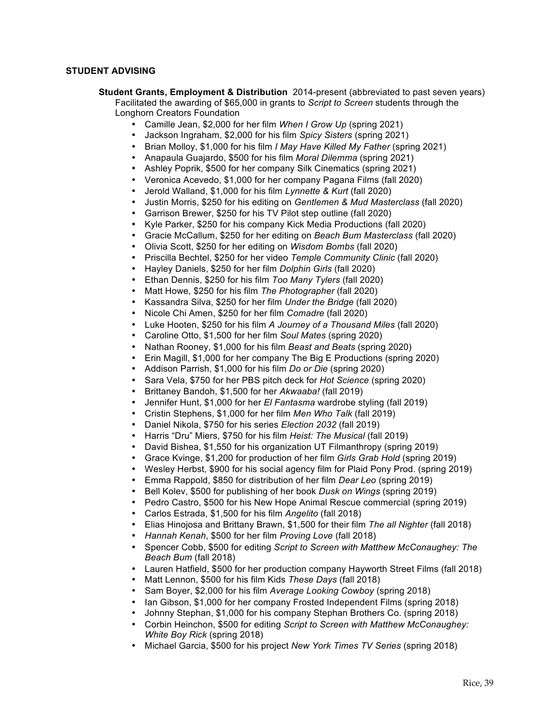## **STUDENT ADVISING**

- **Student Grants, Employment & Distribution** 2014-present (abbreviated to past seven years) Facilitated the awarding of \$65,000 in grants to *Script to Screen* students through the Longhorn Creators Foundation
	- Camille Jean, \$2,000 for her film *When I Grow Up* (spring 2021)
	- Jackson Ingraham, \$2,000 for his film *Spicy Sisters* (spring 2021)
	- Brian Molloy, \$1,000 for his film *I May Have Killed My Father* (spring 2021)
	- Anapaula Guajardo, \$500 for his film *Moral Dilemma* (spring 2021)
	- Ashley Poprik, \$500 for her company Silk Cinematics (spring 2021)
	- Veronica Acevedo, \$1,000 for her company Pagana Films (fall 2020)
	- Jerold Walland, \$1,000 for his film *Lynnette & Kurt* (fall 2020)
	- Justin Morris, \$250 for his editing on *Gentlemen & Mud Masterclass* (fall 2020)
	- Garrison Brewer, \$250 for his TV Pilot step outline (fall 2020)
	- Kyle Parker, \$250 for his company Kick Media Productions (fall 2020)
	- Gracie McCallum, \$250 for her editing on *Beach Bum Masterclass* (fall 2020)
	- Olivia Scott, \$250 for her editing on *Wisdom Bombs* (fall 2020)
	- Priscilla Bechtel, \$250 for her video *Temple Community Clinic* (fall 2020)
	- Hayley Daniels, \$250 for her film *Dolphin Girls* (fall 2020)
	- Ethan Dennis, \$250 for his film *Too Many Tylers* (fall 2020)
	- Matt Howe, \$250 for his film *The Photographer* (fall 2020)
	- Kassandra Silva, \$250 for her film *Under the Bridge* (fall 2020)
	- Nicole Chi Amen, \$250 for her film *Comadre* (fall 2020)
	- Luke Hooten, \$250 for his film *A Journey of a Thousand Miles* (fall 2020)
	- Caroline Otto, \$1,500 for her film *Soul Mates* (spring 2020)
	- Nathan Rooney, \$1,000 for his film *Beast and Beats* (spring 2020)
	- Erin Magill, \$1,000 for her company The Big E Productions (spring 2020)
	- Addison Parrish, \$1,000 for his film *Do or Die* (spring 2020)
	- Sara Vela, \$750 for her PBS pitch deck for *Hot Science* (spring 2020)
	- Brittaney Bandoh, \$1,500 for her *Akwaaba!* (fall 2019)
	- Jennifer Hunt, \$1,000 for her *El Fantasma* wardrobe styling (fall 2019)
	- Cristin Stephens, \$1,000 for her film *Men Who Talk* (fall 2019)
	- Daniel Nikola, \$750 for his series *Election 2032* (fall 2019)
	- Harris "Dru" Miers, \$750 for his film *Heist: The Musical* (fall 2019)
	- David Bishea, \$1,550 for his organization UT Filmanthropy (spring 2019)
	-
	- Grace Kvinge, \$1,200 for production of her film *Girls Grab Hold* (spring 2019) • Wesley Herbst, \$900 for his social agency film for Plaid Pony Prod. (spring 2019)
	- Emma Rappold, \$850 for distribution of her film *Dear Leo* (spring 2019)
	- Bell Kolev, \$500 for publishing of her book *Dusk on Wings* (spring 2019)
	- Pedro Castro, \$500 for his New Hope Animal Rescue commercial (spring 2019)
	- Carlos Estrada, \$1,500 for his film *Angelito* (fall 2018)
	- Elias Hinojosa and Brittany Brawn, \$1,500 for their film *The all Nighter* (fall 2018)
	- *Hannah Kenah*, \$500 for her film *Proving Love* (fall 2018)
	- Spencer Cobb, \$500 for editing *Script to Screen with Matthew McConaughey: The Beach Bum* (fall 2018)
	- Lauren Hatfield, \$500 for her production company Hayworth Street Films (fall 2018)
	- Matt Lennon, \$500 for his film Kids *These Days* (fall 2018)
	- Sam Boyer, \$2,000 for his film *Average Looking Cowboy* (spring 2018)
	- Ian Gibson, \$1,000 for her company Frosted Independent Films (spring 2018)
	- Johnny Stephan, \$1,000 for his company Stephan Brothers Co. (spring 2018)
	- Corbin Heinchon, \$500 for editing *Script to Screen with Matthew McConaughey: White Boy Rick* (spring 2018)
	- Michael Garcia, \$500 for his project *New York Times TV Series* (spring 2018)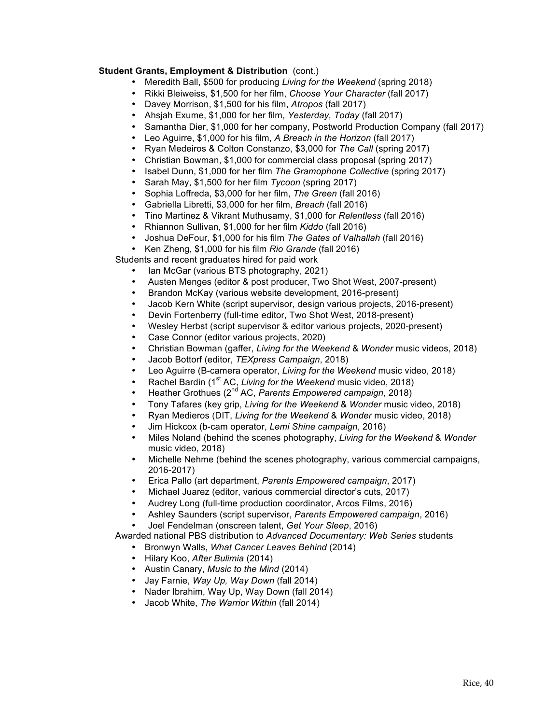## **Student Grants, Employment & Distribution** (cont.)

- Meredith Ball, \$500 for producing *Living for the Weekend* (spring 2018)
- Rikki Bleiweiss, \$1,500 for her film, *Choose Your Character* (fall 2017)
- Davey Morrison, \$1,500 for his film, *Atropos* (fall 2017)
- Ahsjah Exume, \$1,000 for her film, *Yesterday, Today* (fall 2017)
- Samantha Dier, \$1,000 for her company, Postworld Production Company (fall 2017)
- Leo Aguirre, \$1,000 for his film, *A Breach in the Horizon* (fall 2017)
- Ryan Medeiros & Colton Constanzo, \$3,000 for *The Call* (spring 2017)
- Christian Bowman, \$1,000 for commercial class proposal (spring 2017)
- Isabel Dunn, \$1,000 for her film *The Gramophone Collective* (spring 2017)
- Sarah May, \$1,500 for her film *Tycoon* (spring 2017)
- Sophia Loffreda, \$3,000 for her film, *The Green* (fall 2016)
- Gabriella Libretti, \$3,000 for her film, *Breach* (fall 2016)
- Tino Martinez & Vikrant Muthusamy, \$1,000 for *Relentless* (fall 2016)
- Rhiannon Sullivan, \$1,000 for her film *Kiddo* (fall 2016)
- Joshua DeFour, \$1,000 for his film *The Gates of Valhallah* (fall 2016)
- Ken Zheng, \$1,000 for his film *Rio Grande* (fall 2016)

Students and recent graduates hired for paid work

- Ian McGar (various BTS photography, 2021)
- Austen Menges (editor & post producer, Two Shot West, 2007-present)
- Brandon McKay (various website development, 2016-present)
- Jacob Kern White (script supervisor, design various projects, 2016-present)
- Devin Fortenberry (full-time editor, Two Shot West, 2018-present)
- Wesley Herbst (script supervisor & editor various projects, 2020-present)
- Case Connor (editor various projects, 2020)
- Christian Bowman (gaffer, *Living for the Weekend* & *Wonder* music videos, 2018)
- Jacob Bottorf (editor, *TEXpress Campaign*, 2018)
- Leo Aguirre (B-camera operator, *Living for the Weekend* music video, 2018)
- Rachel Bardin (1<sup>st</sup> AC, *Living for the Weekend* music video, 2018)
- Heather Grothues (2nd AC, *Parents Empowered campaign*, 2018)
- Tony Tafares (key grip, *Living for the Weekend* & *Wonder* music video, 2018)
- Ryan Medieros (DIT, *Living for the Weekend* & *Wonder* music video, 2018)
- Jim Hickcox (b-cam operator, *Lemi Shine campaign*, 2016)
- Miles Noland (behind the scenes photography, *Living for the Weekend* & *Wonder*  music video, 2018)
- Michelle Nehme (behind the scenes photography, various commercial campaigns, 2016-2017)
- Erica Pallo (art department, *Parents Empowered campaign*, 2017)
- Michael Juarez (editor, various commercial director's cuts, 2017)
- Audrey Long (full-time production coordinator, Arcos Films, 2016)
- Ashley Saunders (script supervisor, *Parents Empowered campaign*, 2016)
- Joel Fendelman (onscreen talent, *Get Your Sleep*, 2016)

Awarded national PBS distribution to *Advanced Documentary: Web Series* students

- Bronwyn Walls, *What Cancer Leaves Behind* (2014)
- Hilary Koo, *After Bulimia* (2014)
- Austin Canary, *Music to the Mind* (2014)
- Jay Farnie, *Way Up, Way Down* (fall 2014)
- Nader Ibrahim, Way Up, Way Down (fall 2014)
- Jacob White, *The Warrior Within* (fall 2014)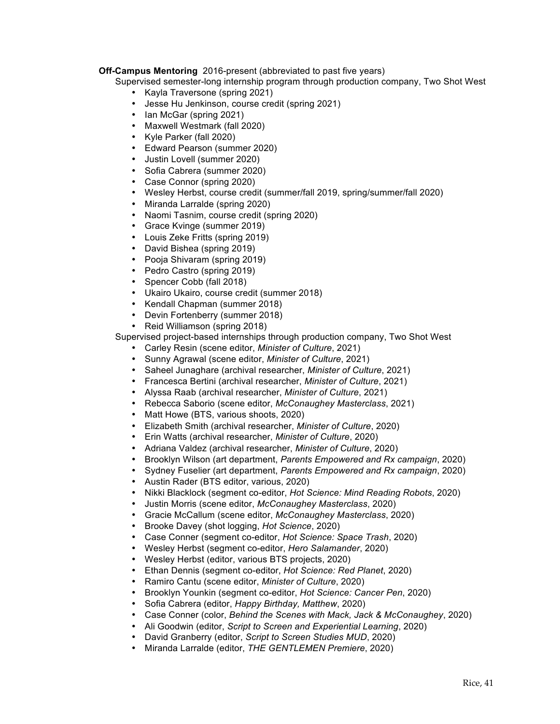# **Off-Campus Mentoring** 2016-present (abbreviated to past five years)

Supervised semester-long internship program through production company, Two Shot West

- Kayla Traversone (spring 2021)
- Jesse Hu Jenkinson, course credit (spring 2021)
- Ian McGar (spring 2021)
- Maxwell Westmark (fall 2020)
- Kyle Parker (fall 2020)
- Edward Pearson (summer 2020)<br>• Justin Lovell (summer 2020)
- Justin Lovell (summer 2020)
- Sofia Cabrera (summer 2020)
- Case Connor (spring 2020)
- Wesley Herbst, course credit (summer/fall 2019, spring/summer/fall 2020)
- Miranda Larralde (spring 2020)
- Naomi Tasnim, course credit (spring 2020)
- Grace Kvinge (summer 2019)
- Louis Zeke Fritts (spring 2019)
- David Bishea (spring 2019)
- Pooja Shivaram (spring 2019)
- Pedro Castro (spring 2019)
- Spencer Cobb (fall 2018)
- Ukairo Ukairo, course credit (summer 2018)
- Kendall Chapman (summer 2018)
- Devin Fortenberry (summer 2018)
- Reid Williamson (spring 2018)

Supervised project-based internships through production company, Two Shot West

- Carley Resin (scene editor, *Minister of Culture*, 2021)
- Sunny Agrawal (scene editor, *Minister of Culture*, 2021)
- Saheel Junaghare (archival researcher, *Minister of Culture*, 2021)
- Francesca Bertini (archival researcher, *Minister of Culture*, 2021)
- Alyssa Raab (archival researcher, *Minister of Culture*, 2021)
- Rebecca Saborio (scene editor, *McConaughey Masterclass*, 2021)
- Matt Howe (BTS, various shoots, 2020)
- Elizabeth Smith (archival researcher, *Minister of Culture*, 2020)
- Erin Watts (archival researcher, *Minister of Culture*, 2020)
- Adriana Valdez (archival researcher, *Minister of Culture*, 2020)
- Brooklyn Wilson (art department, *Parents Empowered and Rx campaign*, 2020)
- Sydney Fuselier (art department, *Parents Empowered and Rx campaign*, 2020)
- Austin Rader (BTS editor, various, 2020)
- Nikki Blacklock (segment co-editor, *Hot Science: Mind Reading Robots*, 2020)
- Justin Morris (scene editor, *McConaughey Masterclass*, 2020)
- Gracie McCallum (scene editor, *McConaughey Masterclass*, 2020)
- Brooke Davey (shot logging, *Hot Science*, 2020)
- Case Conner (segment co-editor, *Hot Science: Space Trash*, 2020)
- Wesley Herbst (segment co-editor, *Hero Salamander*, 2020)
- Wesley Herbst (editor, various BTS projects, 2020)
- Ethan Dennis (segment co-editor, *Hot Science: Red Planet*, 2020)
- Ramiro Cantu (scene editor, *Minister of Culture*, 2020)
- Brooklyn Younkin (segment co-editor, *Hot Science: Cancer Pen*, 2020)
- Sofia Cabrera (editor, *Happy Birthday, Matthew*, 2020)
- Case Conner (color, *Behind the Scenes with Mack, Jack & McConaughey*, 2020)
- Ali Goodwin (editor, *Script to Screen and Experiential Learning*, 2020)
- David Granberry (editor, *Script to Screen Studies MUD*, 2020)
- Miranda Larralde (editor, *THE GENTLEMEN Premiere*, 2020)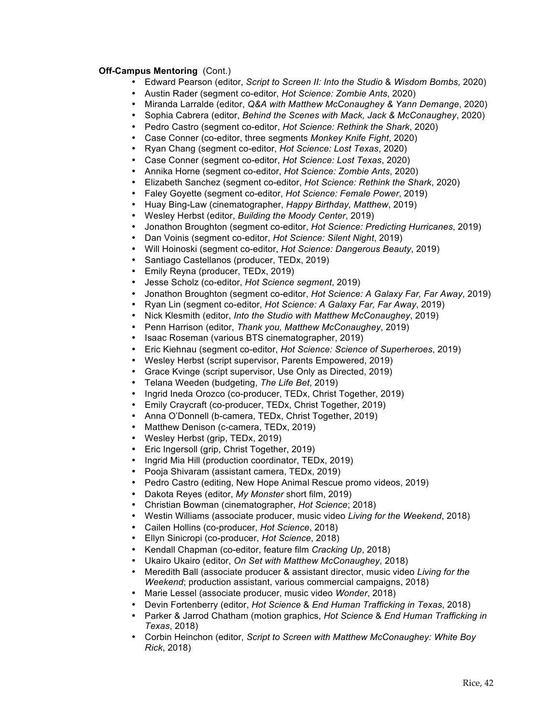## **Off-Campus Mentoring** (Cont.)

- Edward Pearson (editor, *Script to Screen II: Into the Studio* & *Wisdom Bombs*, 2020)
- Austin Rader (segment co-editor, *Hot Science: Zombie Ants*, 2020)
- Miranda Larralde (editor, *Q&A with Matthew McConaughey & Yann Demange*, 2020)
- Sophia Cabrera (editor, *Behind the Scenes with Mack, Jack & McConaughey*, 2020)
- Pedro Castro (segment co-editor, *Hot Science: Rethink the Shark*, 2020)
- Case Conner (co-editor, three segments *Monkey Knife Fight*, 2020)
- Ryan Chang (segment co-editor, *Hot Science: Lost Texas*, 2020)
- Case Conner (segment co-editor, *Hot Science: Lost Texas*, 2020)
- Annika Horne (segment co-editor, *Hot Science: Zombie Ants*, 2020)
- Elizabeth Sanchez (segment co-editor, *Hot Science: Rethink the Shark*, 2020)
- Faley Goyette (segment co-editor, *Hot Science: Female Power*, 2019)
- Huay Bing-Law (cinematographer, *Happy Birthday, Matthew*, 2019)
- Wesley Herbst (editor, *Building the Moody Center*, 2019)
- Jonathon Broughton (segment co-editor, *Hot Science: Predicting Hurricanes*, 2019)
- Dan Voinis (segment co-editor, *Hot Science: Silent Night*, 2019)
- Will Hoinoski (segment co-editor, *Hot Science: Dangerous Beauty*, 2019)
- Santiago Castellanos (producer, TEDx, 2019)
- Emily Reyna (producer, TEDx, 2019)
- Jesse Scholz (co-editor, *Hot Science segment*, 2019)
- Jonathon Broughton (segment co-editor, *Hot Science: A Galaxy Far, Far Away*, 2019)
- Ryan Lin (segment co-editor, *Hot Science: A Galaxy Far, Far Away*, 2019)
- Nick Klesmith (editor, *Into the Studio with Matthew McConaughey*, 2019)
- Penn Harrison (editor, *Thank you, Matthew McConaughey*, 2019)
- Isaac Roseman (various BTS cinematographer, 2019)
- Eric Kiehnau (segment co-editor, *Hot Science: Science of Superheroes*, 2019)
- Wesley Herbst (script supervisor, Parents Empowered, 2019)
- Grace Kvinge (script supervisor, Use Only as Directed, 2019)
- Telana Weeden (budgeting, *The Life Bet*, 2019)
- Ingrid Ineda Orozco (co-producer, TEDx, Christ Together, 2019)
- Emily Craycraft (co-producer, TEDx, Christ Together, 2019)
- Anna O'Donnell (b-camera, TEDx, Christ Together, 2019)
- Matthew Denison (c-camera, TEDx, 2019)
- Wesley Herbst (grip, TEDx, 2019)
- Eric Ingersoll (grip, Christ Together, 2019)<br>• Ingrid Mia Hill (production coordinator, TED
- Ingrid Mia Hill (production coordinator, TEDx, 2019)
- Pooja Shivaram (assistant camera, TEDx, 2019)
- Pedro Castro (editing, New Hope Animal Rescue promo videos, 2019)
- Dakota Reyes (editor, *My Monster* short film, 2019)
- Christian Bowman (cinematographer, *Hot Science*; 2018)
- Westin Williams (associate producer, music video *Living for the Weekend*, 2018)
- Cailen Hollins (co-producer, *Hot Science*, 2018)
- Ellyn Sinicropi (co-producer, *Hot Science*, 2018)
- Kendall Chapman (co-editor, feature film *Cracking Up*, 2018)
- Ukairo Ukairo (editor, *On Set with Matthew McConaughey*, 2018)
- Meredith Ball (associate producer & assistant director, music video *Living for the Weekend*; production assistant, various commercial campaigns, 2018)
- Marie Lessel (associate producer, music video *Wonder*, 2018)
- Devin Fortenberry (editor, *Hot Science* & *End Human Trafficking in Texas*, 2018)
- Parker & Jarrod Chatham (motion graphics, *Hot Science* & *End Human Trafficking in Texas*, 2018)
- Corbin Heinchon (editor, *Script to Screen with Matthew McConaughey: White Boy Rick*, 2018)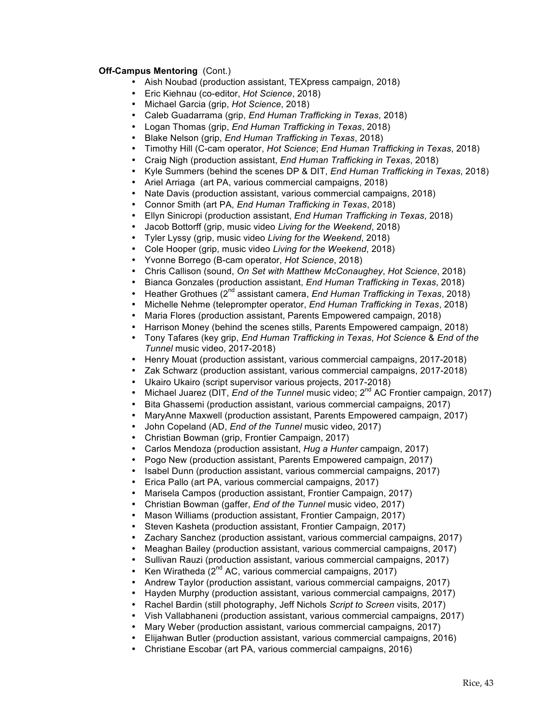# **Off-Campus Mentoring** (Cont.)

- Aish Noubad (production assistant, TEXpress campaign, 2018)
- Eric Kiehnau (co-editor, *Hot Science*, 2018)
- Michael Garcia (grip, *Hot Science*, 2018)
- Caleb Guadarrama (grip, *End Human Trafficking in Texas*, 2018)
- Logan Thomas (grip, *End Human Trafficking in Texas*, 2018)
- Blake Nelson (grip, *End Human Trafficking in Texas*, 2018)
- Timothy Hill (C-cam operator, *Hot Science*; *End Human Trafficking in Texas*, 2018)
- Craig Nigh (production assistant, *End Human Trafficking in Texas*, 2018)
- Kyle Summers (behind the scenes DP & DIT, *End Human Trafficking in Texas*, 2018)
- Ariel Arriaga (art PA, various commercial campaigns, 2018)
- Nate Davis (production assistant, various commercial campaigns, 2018)
- Connor Smith (art PA, *End Human Trafficking in Texas*, 2018)
- Ellyn Sinicropi (production assistant, *End Human Trafficking in Texas*, 2018)
- Jacob Bottorff (grip, music video *Living for the Weekend*, 2018)
- Tyler Lyssy (grip, music video *Living for the Weekend*, 2018)
- Cole Hooper (grip, music video *Living for the Weekend*, 2018)
- Yvonne Borrego (B-cam operator, *Hot Science*, 2018)
- Chris Callison (sound, *On Set with Matthew McConaughey*, *Hot Science*, 2018)
- Bianca Gonzales (production assistant, *End Human Trafficking in Texas*, 2018)
- Heather Grothues (2nd assistant camera, *End Human Trafficking in Texas*, 2018)
- Michelle Nehme (teleprompter operator, *End Human Trafficking in Texas*, 2018)
- Maria Flores (production assistant, Parents Empowered campaign, 2018)
- Harrison Money (behind the scenes stills, Parents Empowered campaign, 2018)
- Tony Tafares (key grip, *End Human Trafficking in Texas*, *Hot Science* & *End of the Tunnel* music video, 2017-2018)
- Henry Mouat (production assistant, various commercial campaigns, 2017-2018)
- Zak Schwarz (production assistant, various commercial campaigns, 2017-2018)
- Ukairo Ukairo (script supervisor various projects, 2017-2018)
- Michael Juarez (DIT, *End of the Tunnel* music video; 2<sup>nd</sup> AC Frontier campaign, 2017)
- Bita Ghassemi (production assistant, various commercial campaigns, 2017)
- MaryAnne Maxwell (production assistant, Parents Empowered campaign, 2017)
- John Copeland (AD, *End of the Tunnel* music video, 2017)
- Christian Bowman (grip, Frontier Campaign, 2017)
- Carlos Mendoza (production assistant, *Hug a Hunter* campaign, 2017)
- Pogo New (production assistant, Parents Empowered campaign, 2017)
- Isabel Dunn (production assistant, various commercial campaigns, 2017)
- Erica Pallo (art PA, various commercial campaigns, 2017)
- Marisela Campos (production assistant, Frontier Campaign, 2017)
- Christian Bowman (gaffer, *End of the Tunnel* music video, 2017)
- Mason Williams (production assistant, Frontier Campaign, 2017)
- Steven Kasheta (production assistant, Frontier Campaign, 2017)
- Zachary Sanchez (production assistant, various commercial campaigns, 2017)
- Meaghan Bailey (production assistant, various commercial campaigns, 2017)
- Sullivan Rauzi (production assistant, various commercial campaigns, 2017)
- Ken Wiratheda  $(2^{nd}$  AC, various commercial campaigns, 2017)
- Andrew Taylor (production assistant, various commercial campaigns, 2017)
- Hayden Murphy (production assistant, various commercial campaigns, 2017)
- Rachel Bardin (still photography, Jeff Nichols *Script to Screen* visits, 2017)
- Vish Vallabhaneni (production assistant, various commercial campaigns, 2017)
- Mary Weber (production assistant, various commercial campaigns, 2017)
- Elijahwan Butler (production assistant, various commercial campaigns, 2016)
- Christiane Escobar (art PA, various commercial campaigns, 2016)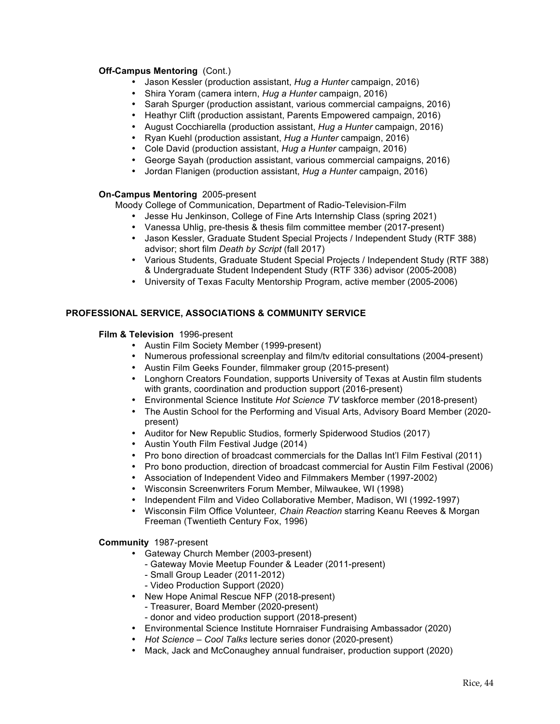# **Off-Campus Mentoring** (Cont.)

- Jason Kessler (production assistant, *Hug a Hunter* campaign, 2016)
- Shira Yoram (camera intern, *Hug a Hunter* campaign, 2016)
- Sarah Spurger (production assistant, various commercial campaigns, 2016)
- Heathyr Clift (production assistant, Parents Empowered campaign, 2016)
- August Cocchiarella (production assistant, *Hug a Hunter* campaign, 2016)
- Ryan Kuehl (production assistant, *Hug a Hunter* campaign, 2016)
- Cole David (production assistant, *Hug a Hunter* campaign, 2016)
- George Sayah (production assistant, various commercial campaigns, 2016)
- Jordan Flanigen (production assistant, *Hug a Hunter* campaign, 2016)

# **On-Campus Mentoring** 2005-present

Moody College of Communication, Department of Radio-Television-Film

- Jesse Hu Jenkinson, College of Fine Arts Internship Class (spring 2021)
- Vanessa Uhlig, pre-thesis & thesis film committee member (2017-present)
- Jason Kessler, Graduate Student Special Projects / Independent Study (RTF 388) advisor; short film *Death by Script* (fall 2017)
- Various Students, Graduate Student Special Projects / Independent Study (RTF 388) & Undergraduate Student Independent Study (RTF 336) advisor (2005-2008)
- University of Texas Faculty Mentorship Program, active member (2005-2006)

# **PROFESSIONAL SERVICE, ASSOCIATIONS & COMMUNITY SERVICE**

## **Film & Television** 1996-present

- Austin Film Society Member (1999-present)
- Numerous professional screenplay and film/tv editorial consultations (2004-present)
- Austin Film Geeks Founder, filmmaker group (2015-present)
- Longhorn Creators Foundation, supports University of Texas at Austin film students with grants, coordination and production support (2016-present)
- Environmental Science Institute *Hot Science TV* taskforce member (2018-present)
- The Austin School for the Performing and Visual Arts, Advisory Board Member (2020 present)
- Auditor for New Republic Studios, formerly Spiderwood Studios (2017)
- Austin Youth Film Festival Judge (2014)
- Pro bono direction of broadcast commercials for the Dallas Int'l Film Festival (2011)
- Pro bono production, direction of broadcast commercial for Austin Film Festival (2006)
- Association of Independent Video and Filmmakers Member (1997-2002)
- Wisconsin Screenwriters Forum Member, Milwaukee, WI (1998)
- Independent Film and Video Collaborative Member, Madison, WI (1992-1997)
- Wisconsin Film Office Volunteer*, Chain Reaction* starring Keanu Reeves & Morgan Freeman (Twentieth Century Fox, 1996)

## **Community** 1987-present

- Gateway Church Member (2003-present)
	- Gateway Movie Meetup Founder & Leader (2011-present)
	- Small Group Leader (2011-2012)
	- Video Production Support (2020)
- New Hope Animal Rescue NFP (2018-present)
	- Treasurer, Board Member (2020-present)
	- donor and video production support (2018-present)
- Environmental Science Institute Hornraiser Fundraising Ambassador (2020)
- *Hot Science – Cool Talks* lecture series donor (2020-present)
- Mack, Jack and McConaughey annual fundraiser, production support (2020)